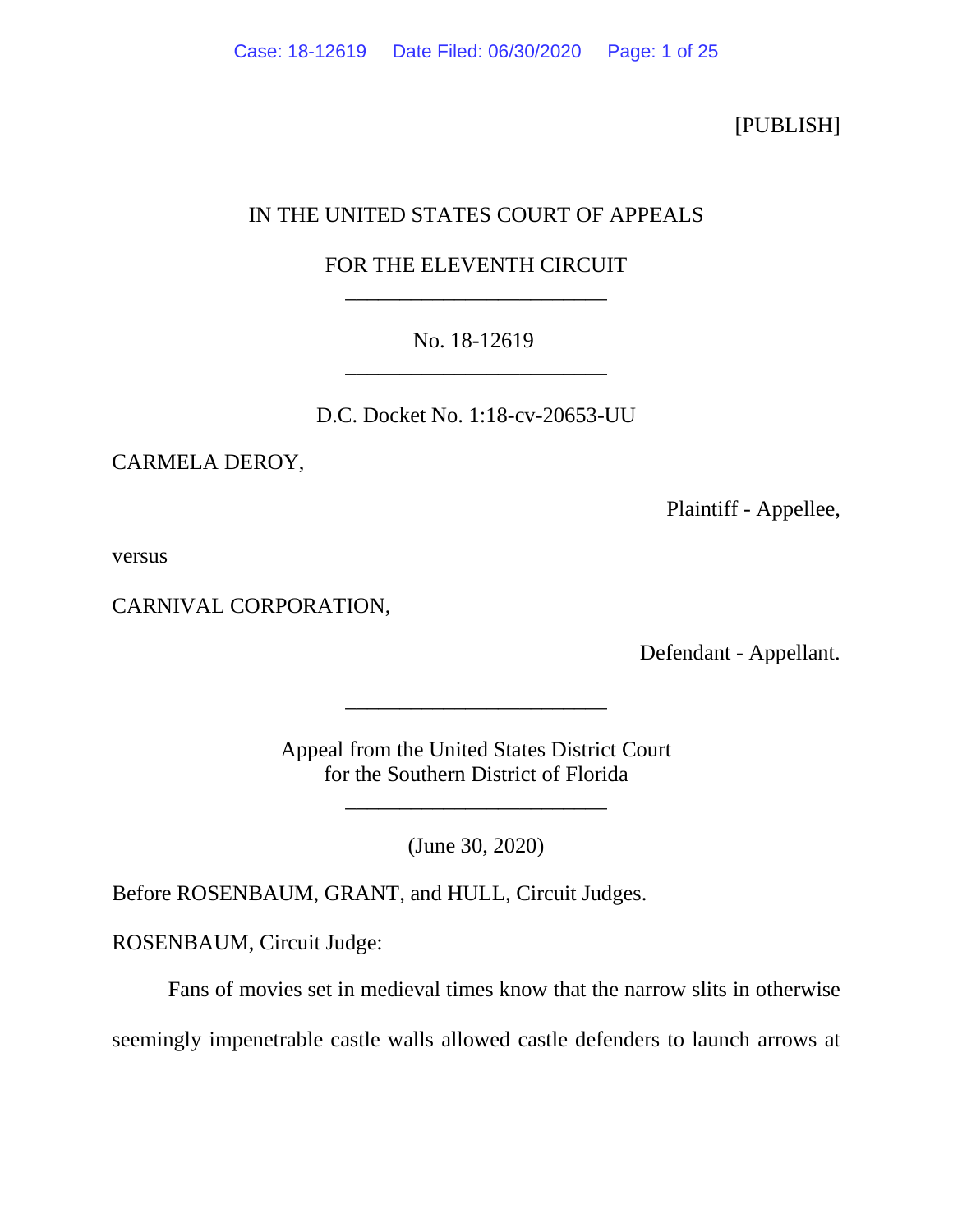[PUBLISH]

# IN THE UNITED STATES COURT OF APPEALS

# FOR THE ELEVENTH CIRCUIT \_\_\_\_\_\_\_\_\_\_\_\_\_\_\_\_\_\_\_\_\_\_\_\_

# No. 18-12619 \_\_\_\_\_\_\_\_\_\_\_\_\_\_\_\_\_\_\_\_\_\_\_\_

D.C. Docket No. 1:18-cv-20653-UU

CARMELA DEROY,

Plaintiff - Appellee,

versus

CARNIVAL CORPORATION,

Defendant - Appellant.

Appeal from the United States District Court for the Southern District of Florida

\_\_\_\_\_\_\_\_\_\_\_\_\_\_\_\_\_\_\_\_\_\_\_\_

\_\_\_\_\_\_\_\_\_\_\_\_\_\_\_\_\_\_\_\_\_\_\_\_

(June 30, 2020)

Before ROSENBAUM, GRANT, and HULL, Circuit Judges.

ROSENBAUM, Circuit Judge:

Fans of movies set in medieval times know that the narrow slits in otherwise

seemingly impenetrable castle walls allowed castle defenders to launch arrows at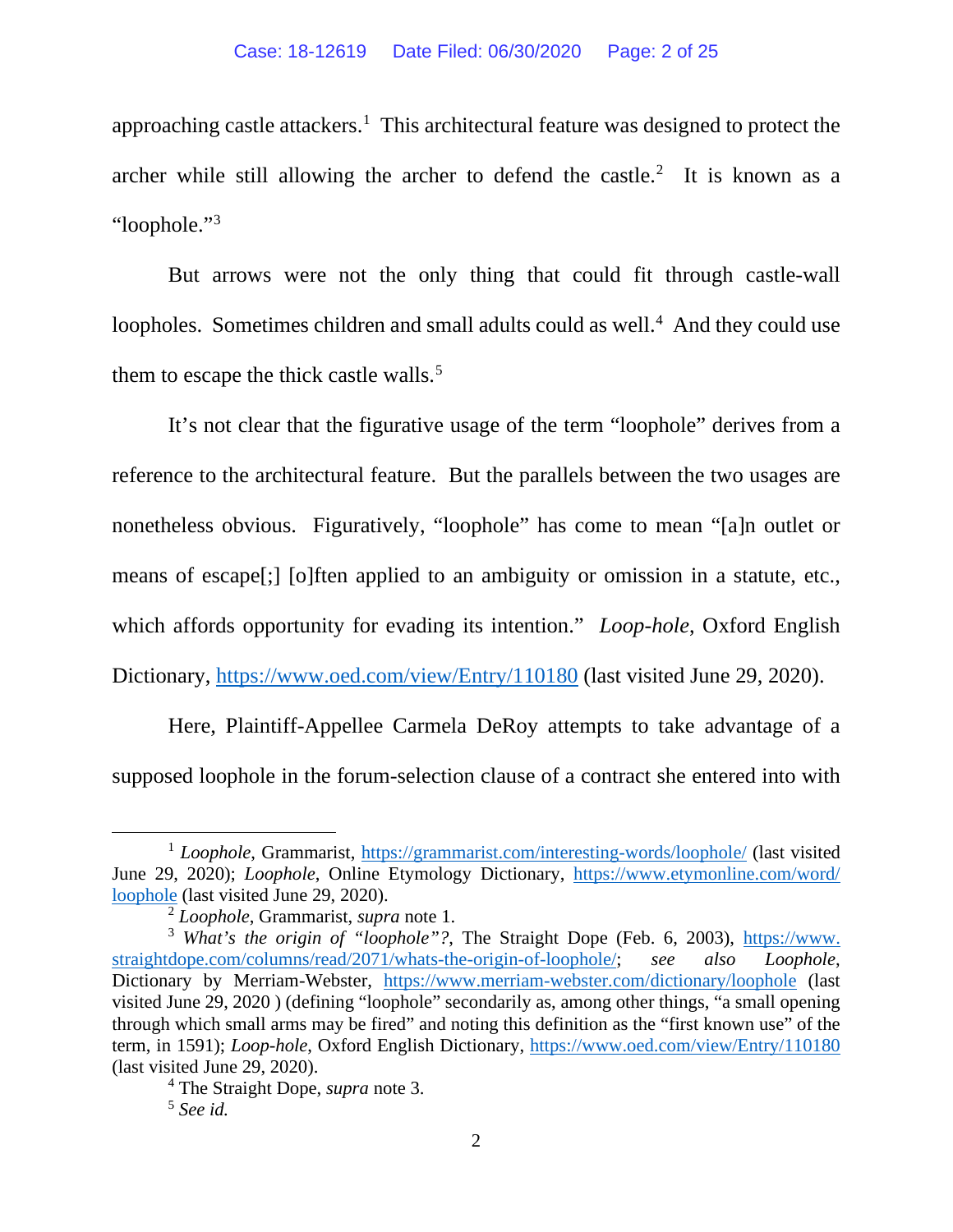approaching castle attackers.<sup>1</sup> This architectural feature was designed to protect the archer while still allowing the archer to defend the castle. $2$  It is known as a "loophole.["3](#page-1-2)

But arrows were not the only thing that could fit through castle-wall loopholes. Sometimes children and small adults could as well.<sup>[4](#page-1-3)</sup> And they could use them to escape the thick castle walls.<sup>[5](#page-1-4)</sup>

It's not clear that the figurative usage of the term "loophole" derives from a reference to the architectural feature. But the parallels between the two usages are nonetheless obvious. Figuratively, "loophole" has come to mean "[a]n outlet or means of escape[;] [o]ften applied to an ambiguity or omission in a statute, etc., which affords opportunity for evading its intention." *Loop-hole*, Oxford English Dictionary, [https://www.oed.com/view/Entry/110180](https://www.oed.com/%E2%80%8Cview/%E2%80%8CEntry/110180) (last visited June 29, 2020).

Here, Plaintiff-Appellee Carmela DeRoy attempts to take advantage of a supposed loophole in the forum-selection clause of a contract she entered into with

<span id="page-1-0"></span><sup>&</sup>lt;sup>1</sup> *Loophole*, Grammarist, [https://grammarist.com/interesting-words/loophole/](https://grammarist.com/%E2%80%8Cinteresting%E2%80%8C-%E2%80%8Cwords/%E2%80%8Cloophole/) (last visited June 29, 2020); *Loophole*, Online Etymology Dictionary, [https://www.etymonline.com/word/](https://www.etymonline.com/word/loophole) [loophole](https://www.etymonline.com/word/loophole) (last visited June 29, 2020).

<sup>2</sup> *Loophole*, Grammarist, *supra* note 1.

<span id="page-1-2"></span><span id="page-1-1"></span><sup>&</sup>lt;sup>3</sup> *What's the origin of "loophole"?*, The Straight Dope (Feb. 6, 2003), [https://www.](https://www.straightdope.com/columns/%E2%80%8C%E2%80%8Cread%E2%80%8C/2071%E2%80%8C/%E2%80%8Cwhats-the-origin-of-loophole/) [straightdope.com/columns/read/2071/whats-the-origin-of-loophole/;](https://www.straightdope.com/columns/%E2%80%8C%E2%80%8Cread%E2%80%8C/2071%E2%80%8C/%E2%80%8Cwhats-the-origin-of-loophole/) *see also Loophole*, Dictionary by Merriam-Webster, <https://www.merriam-webster.com/dictionary/loophole> (last visited June 29, 2020 ) (defining "loophole" secondarily as, among other things, "a small opening through which small arms may be fired" and noting this definition as the "first known use" of the term, in 1591); *Loop-hole*, Oxford English Dictionary, [https://www.oed.com/view/Entry/110180](https://www.oed.com/%E2%80%8Cview/%E2%80%8CEntry/110180) (last visited June 29, 2020).

<span id="page-1-4"></span><span id="page-1-3"></span><sup>4</sup> The Straight Dope, *supra* note 3. 5 *See id.*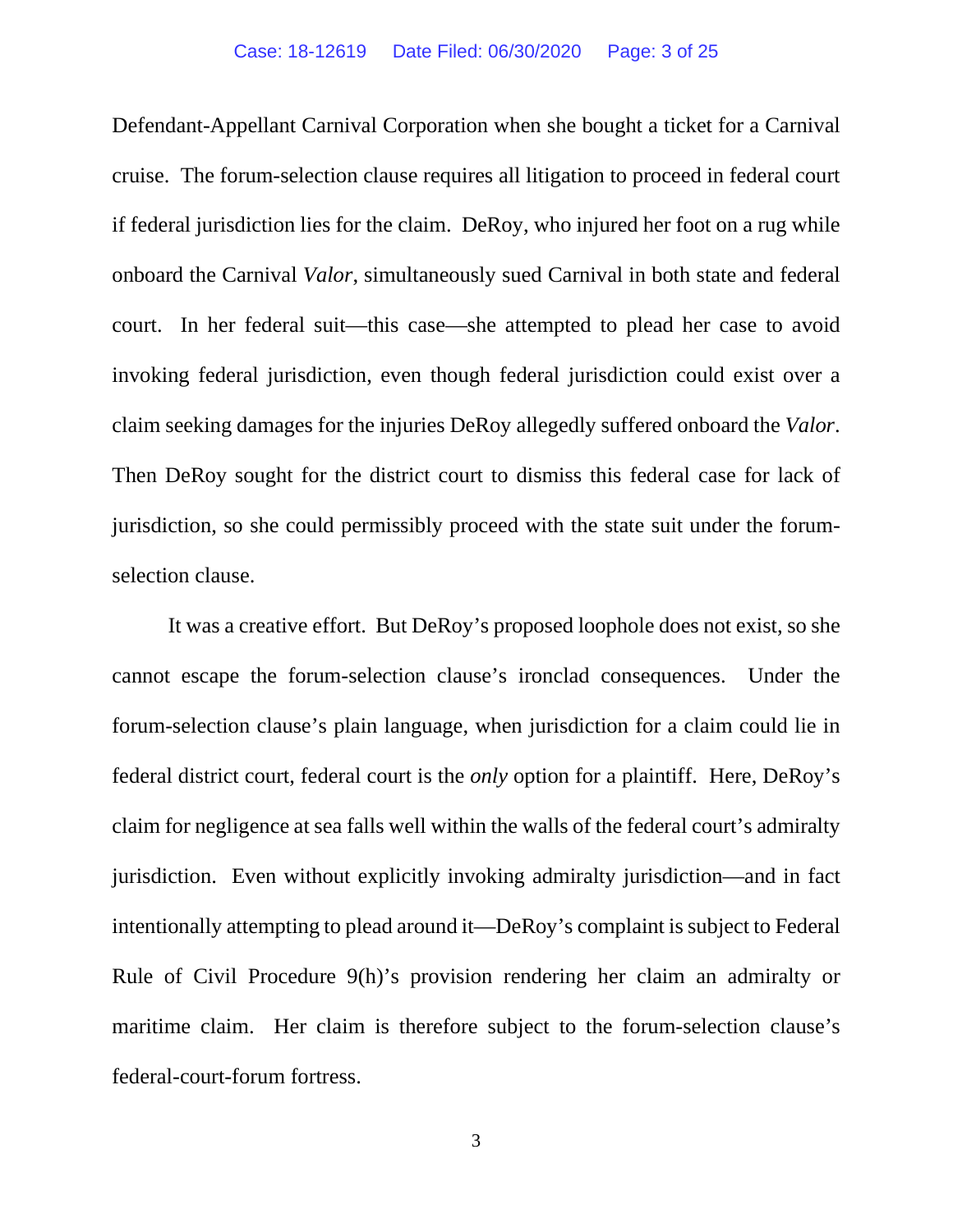Defendant-Appellant Carnival Corporation when she bought a ticket for a Carnival cruise. The forum-selection clause requires all litigation to proceed in federal court if federal jurisdiction lies for the claim. DeRoy, who injured her foot on a rug while onboard the Carnival *Valor*, simultaneously sued Carnival in both state and federal court. In her federal suit—this case—she attempted to plead her case to avoid invoking federal jurisdiction, even though federal jurisdiction could exist over a claim seeking damages for the injuries DeRoy allegedly suffered onboard the *Valor*. Then DeRoy sought for the district court to dismiss this federal case for lack of jurisdiction, so she could permissibly proceed with the state suit under the forumselection clause.

It was a creative effort. But DeRoy's proposed loophole does not exist, so she cannot escape the forum-selection clause's ironclad consequences. Under the forum-selection clause's plain language, when jurisdiction for a claim could lie in federal district court, federal court is the *only* option for a plaintiff. Here, DeRoy's claim for negligence at sea falls well within the walls of the federal court's admiralty jurisdiction. Even without explicitly invoking admiralty jurisdiction—and in fact intentionally attempting to plead around it—DeRoy's complaint is subject to Federal Rule of Civil Procedure 9(h)'s provision rendering her claim an admiralty or maritime claim. Her claim is therefore subject to the forum-selection clause's federal-court-forum fortress.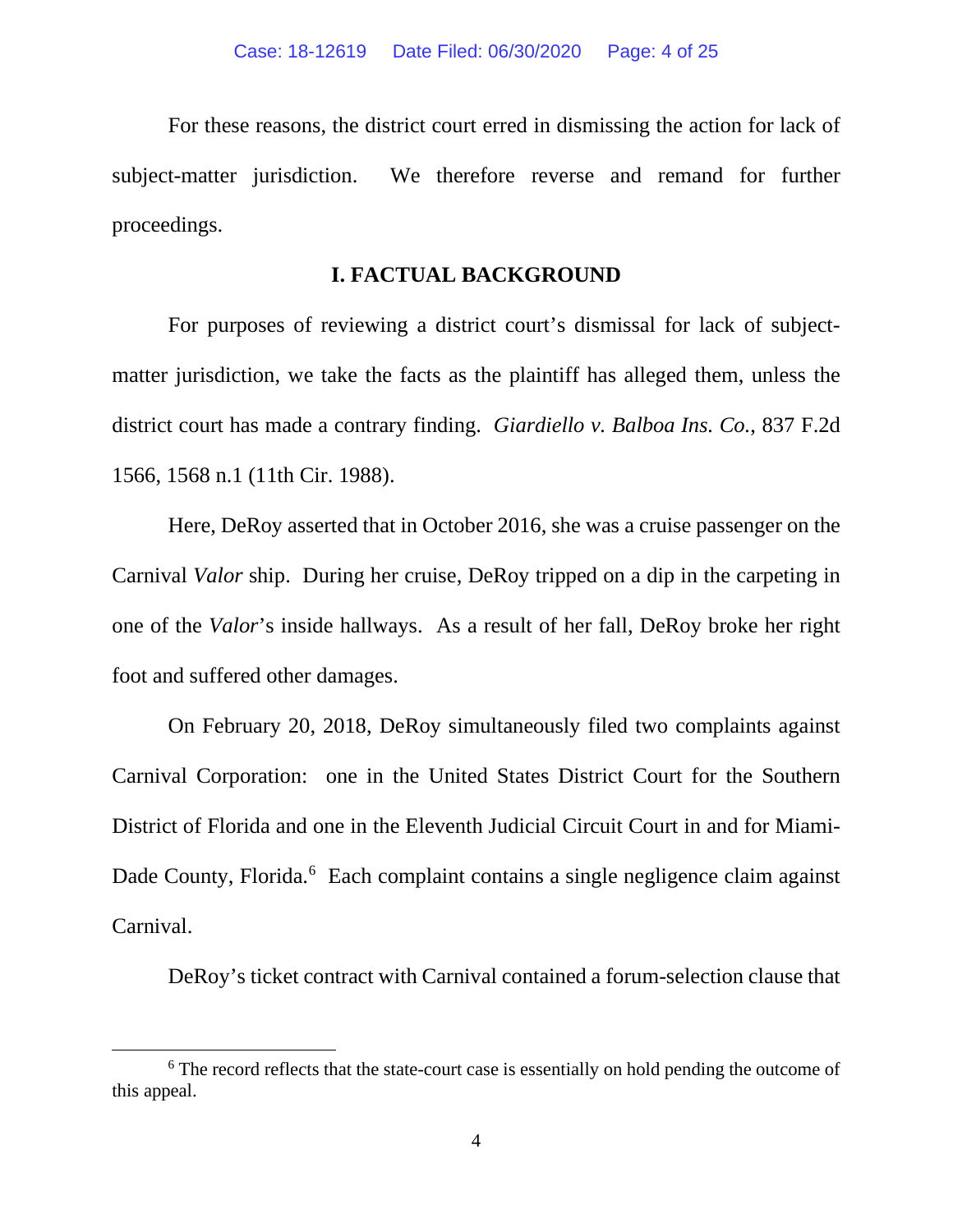For these reasons, the district court erred in dismissing the action for lack of subject-matter jurisdiction. We therefore reverse and remand for further proceedings.

### **I. FACTUAL BACKGROUND**

For purposes of reviewing a district court's dismissal for lack of subjectmatter jurisdiction, we take the facts as the plaintiff has alleged them, unless the district court has made a contrary finding. *Giardiello v. Balboa Ins. Co.*, 837 F.2d 1566, 1568 n.1 (11th Cir. 1988).

Here, DeRoy asserted that in October 2016, she was a cruise passenger on the Carnival *Valor* ship. During her cruise, DeRoy tripped on a dip in the carpeting in one of the *Valor*'s inside hallways. As a result of her fall, DeRoy broke her right foot and suffered other damages.

On February 20, 2018, DeRoy simultaneously filed two complaints against Carnival Corporation: one in the United States District Court for the Southern District of Florida and one in the Eleventh Judicial Circuit Court in and for Miami-Dade County, Florida.<sup>[6](#page-3-0)</sup> Each complaint contains a single negligence claim against Carnival.

DeRoy's ticket contract with Carnival contained a forum-selection clause that

<span id="page-3-0"></span><sup>&</sup>lt;sup>6</sup> The record reflects that the state-court case is essentially on hold pending the outcome of this appeal.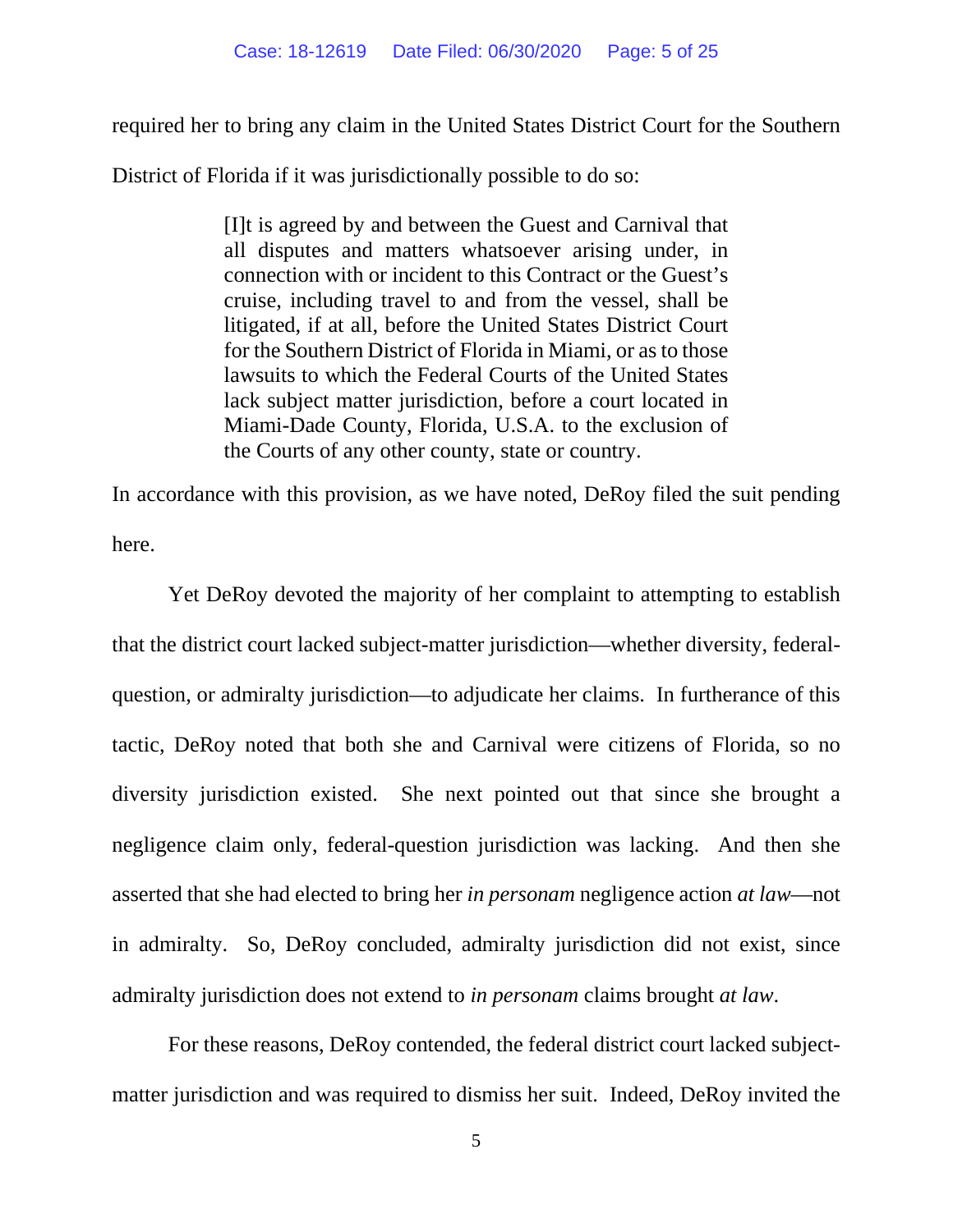required her to bring any claim in the United States District Court for the Southern

District of Florida if it was jurisdictionally possible to do so:

[I]t is agreed by and between the Guest and Carnival that all disputes and matters whatsoever arising under, in connection with or incident to this Contract or the Guest's cruise, including travel to and from the vessel, shall be litigated, if at all, before the United States District Court for the Southern District of Florida in Miami, or as to those lawsuits to which the Federal Courts of the United States lack subject matter jurisdiction, before a court located in Miami-Dade County, Florida, U.S.A. to the exclusion of the Courts of any other county, state or country.

In accordance with this provision, as we have noted, DeRoy filed the suit pending here.

Yet DeRoy devoted the majority of her complaint to attempting to establish that the district court lacked subject-matter jurisdiction—whether diversity, federalquestion, or admiralty jurisdiction—to adjudicate her claims. In furtherance of this tactic, DeRoy noted that both she and Carnival were citizens of Florida, so no diversity jurisdiction existed. She next pointed out that since she brought a negligence claim only, federal-question jurisdiction was lacking. And then she asserted that she had elected to bring her *in personam* negligence action *at law*—not in admiralty. So, DeRoy concluded, admiralty jurisdiction did not exist, since admiralty jurisdiction does not extend to *in personam* claims brought *at law*.

For these reasons, DeRoy contended, the federal district court lacked subjectmatter jurisdiction and was required to dismiss her suit. Indeed, DeRoy invited the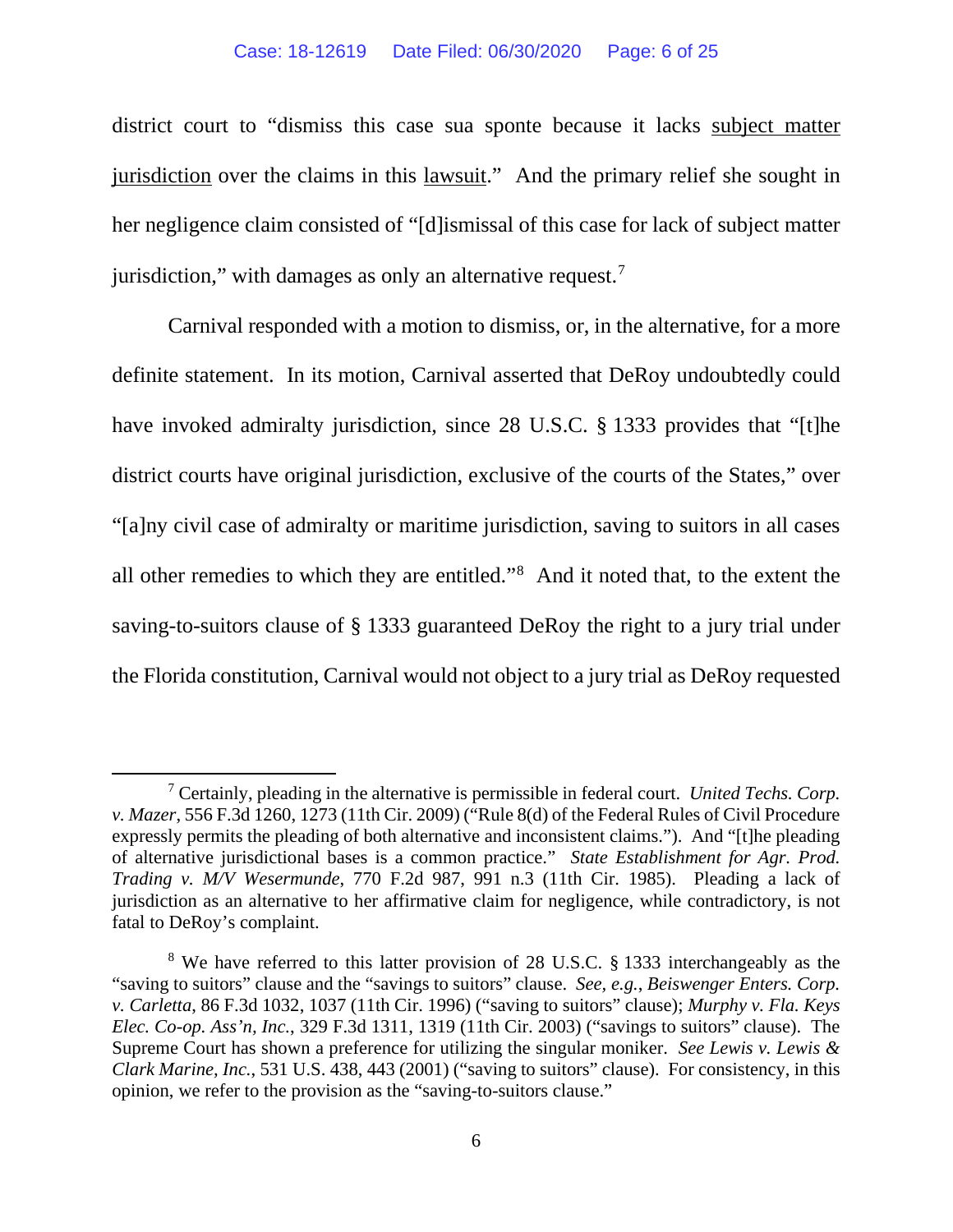#### Case: 18-12619 Date Filed: 06/30/2020 Page: 6 of 25

district court to "dismiss this case sua sponte because it lacks subject matter jurisdiction over the claims in this lawsuit." And the primary relief she sought in her negligence claim consisted of "[d]ismissal of this case for lack of subject matter jurisdiction," with damages as only an alternative request. $7$ 

Carnival responded with a motion to dismiss, or, in the alternative, for a more definite statement. In its motion, Carnival asserted that DeRoy undoubtedly could have invoked admiralty jurisdiction, since 28 U.S.C. § 1333 provides that "[t]he district courts have original jurisdiction, exclusive of the courts of the States," over "[a]ny civil case of admiralty or maritime jurisdiction, saving to suitors in all cases all other remedies to which they are entitled."[8](#page-5-1) And it noted that, to the extent the saving-to-suitors clause of § 1333 guaranteed DeRoy the right to a jury trial under the Florida constitution, Carnival would not object to a jury trial as DeRoy requested

<span id="page-5-0"></span><sup>7</sup> Certainly, pleading in the alternative is permissible in federal court. *United Techs. Corp. v. Mazer*, 556 F.3d 1260, 1273 (11th Cir. 2009) ("Rule 8(d) of the Federal Rules of Civil Procedure expressly permits the pleading of both alternative and inconsistent claims."). And "[t]he pleading of alternative jurisdictional bases is a common practice." *State Establishment for Agr. Prod. Trading v. M/V Wesermunde*, 770 F.2d 987, 991 n.3 (11th Cir. 1985). Pleading a lack of jurisdiction as an alternative to her affirmative claim for negligence, while contradictory, is not fatal to DeRoy's complaint.

<span id="page-5-1"></span><sup>8</sup> We have referred to this latter provision of 28 U.S.C. § 1333 interchangeably as the "saving to suitors" clause and the "savings to suitors" clause. *See, e.g.*, *Beiswenger Enters. Corp. v. Carletta*, 86 F.3d 1032, 1037 (11th Cir. 1996) ("saving to suitors" clause); *Murphy v. Fla. Keys Elec. Co-op. Ass'n, Inc.*, 329 F.3d 1311, 1319 (11th Cir. 2003) ("savings to suitors" clause). The Supreme Court has shown a preference for utilizing the singular moniker. *See Lewis v. Lewis & Clark Marine, Inc.*, 531 U.S. 438, 443 (2001) ("saving to suitors" clause). For consistency, in this opinion, we refer to the provision as the "saving-to-suitors clause."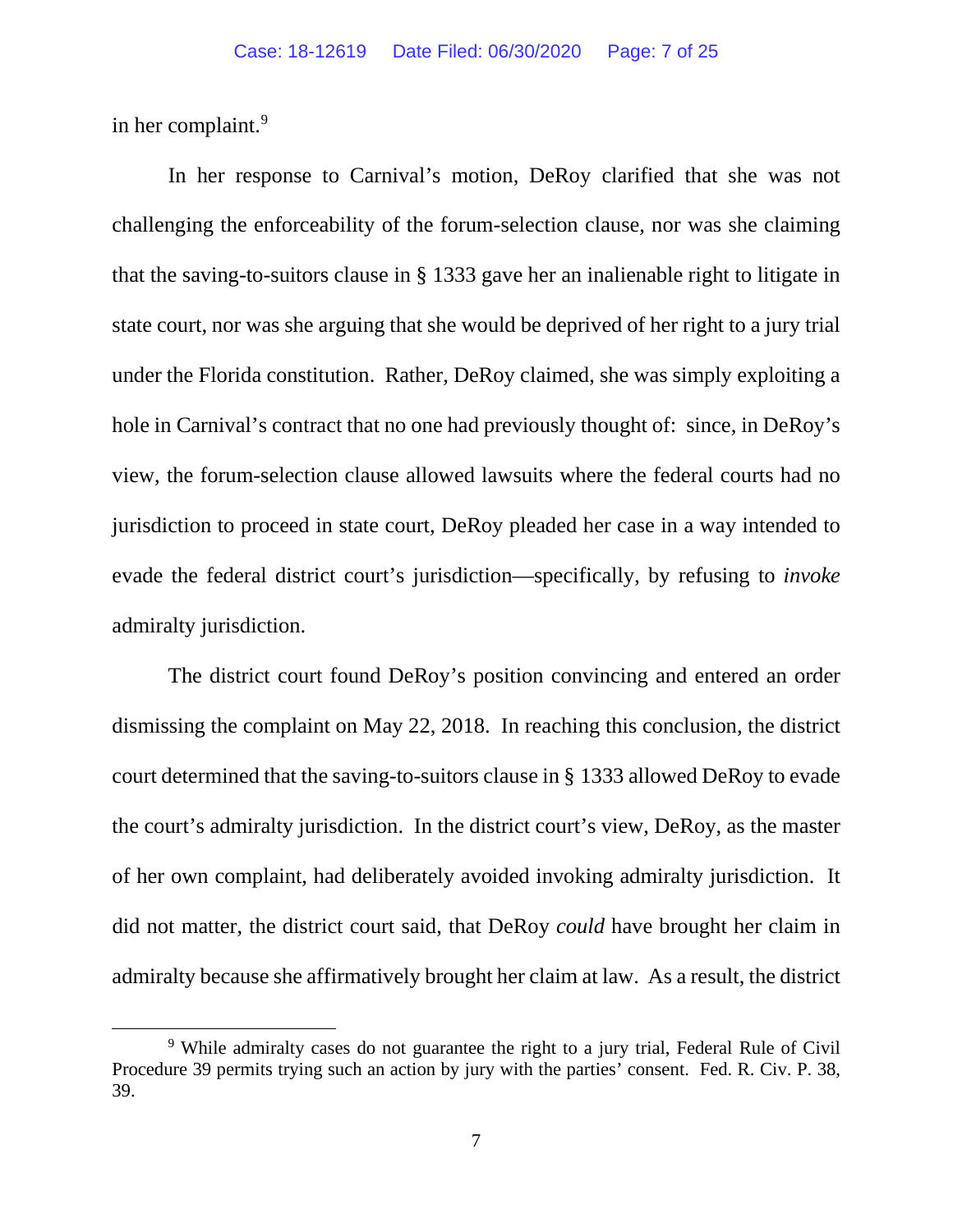in her complaint. [9](#page-6-0)

In her response to Carnival's motion, DeRoy clarified that she was not challenging the enforceability of the forum-selection clause, nor was she claiming that the saving-to-suitors clause in § 1333 gave her an inalienable right to litigate in state court, nor was she arguing that she would be deprived of her right to a jury trial under the Florida constitution. Rather, DeRoy claimed, she was simply exploiting a hole in Carnival's contract that no one had previously thought of: since, in DeRoy's view, the forum-selection clause allowed lawsuits where the federal courts had no jurisdiction to proceed in state court, DeRoy pleaded her case in a way intended to evade the federal district court's jurisdiction—specifically, by refusing to *invoke* admiralty jurisdiction.

The district court found DeRoy's position convincing and entered an order dismissing the complaint on May 22, 2018. In reaching this conclusion, the district court determined that the saving-to-suitors clause in § 1333 allowed DeRoy to evade the court's admiralty jurisdiction. In the district court's view, DeRoy, as the master of her own complaint, had deliberately avoided invoking admiralty jurisdiction. It did not matter, the district court said, that DeRoy *could* have brought her claim in admiralty because she affirmatively brought her claim at law. As a result, the district

<span id="page-6-0"></span><sup>&</sup>lt;sup>9</sup> While admiralty cases do not guarantee the right to a jury trial, Federal Rule of Civil Procedure 39 permits trying such an action by jury with the parties' consent. Fed. R. Civ. P. 38, 39.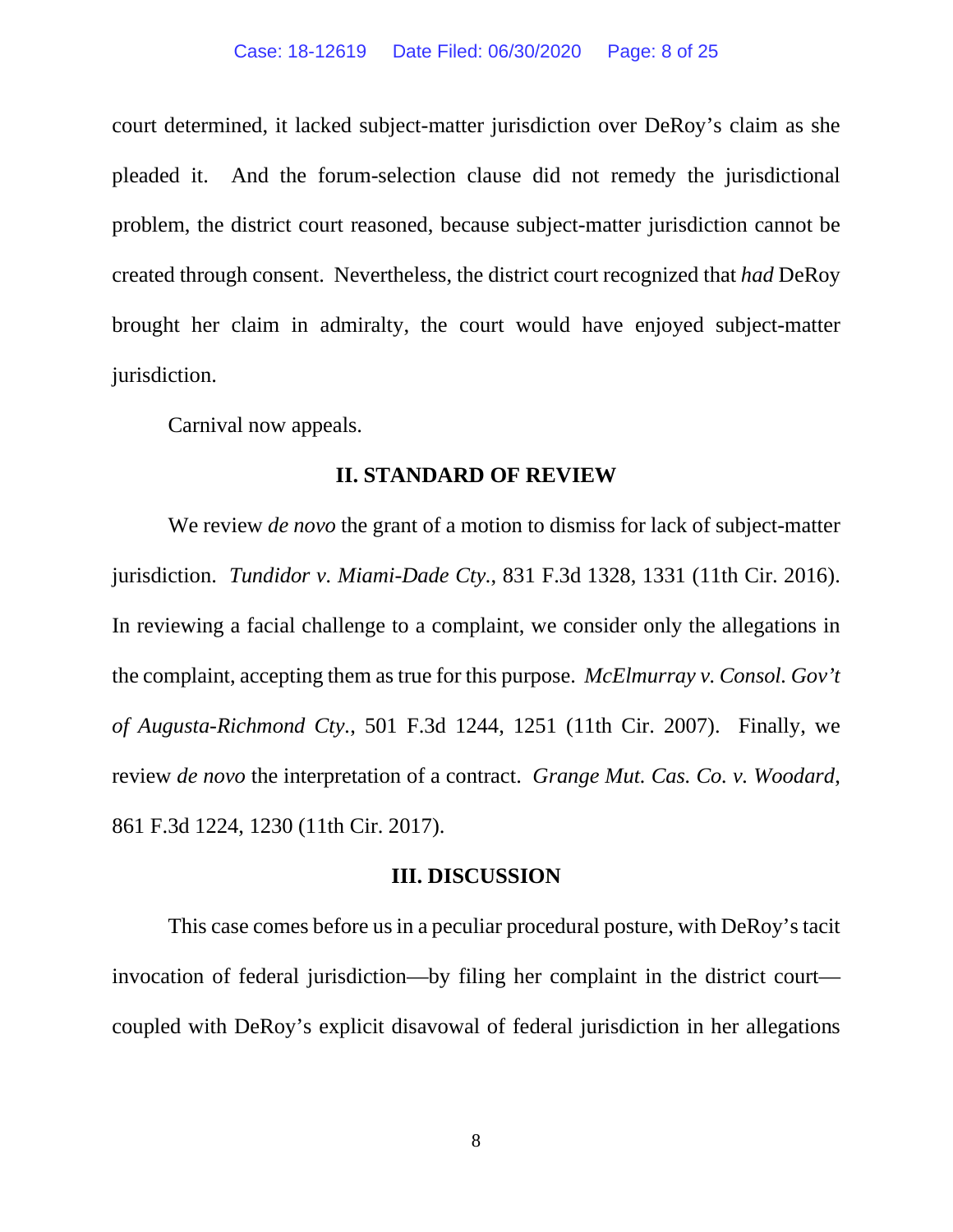court determined, it lacked subject-matter jurisdiction over DeRoy's claim as she pleaded it. And the forum-selection clause did not remedy the jurisdictional problem, the district court reasoned, because subject-matter jurisdiction cannot be created through consent. Nevertheless, the district court recognized that *had* DeRoy brought her claim in admiralty, the court would have enjoyed subject-matter jurisdiction.

Carnival now appeals.

#### **II. STANDARD OF REVIEW**

We review *de novo* the grant of a motion to dismiss for lack of subject-matter jurisdiction. *Tundidor v. Miami-Dade Cty.*, 831 F.3d 1328, 1331 (11th Cir. 2016). In reviewing a facial challenge to a complaint, we consider only the allegations in the complaint, accepting them as true for this purpose. *McElmurray v. Consol. Gov't of Augusta-Richmond Cty.*, 501 F.3d 1244, 1251 (11th Cir. 2007). Finally, we review *de novo* the interpretation of a contract. *Grange Mut. Cas. Co. v. Woodard*, 861 F.3d 1224, 1230 (11th Cir. 2017).

#### **III. DISCUSSION**

This case comes before us in a peculiar procedural posture, with DeRoy'stacit invocation of federal jurisdiction—by filing her complaint in the district court coupled with DeRoy's explicit disavowal of federal jurisdiction in her allegations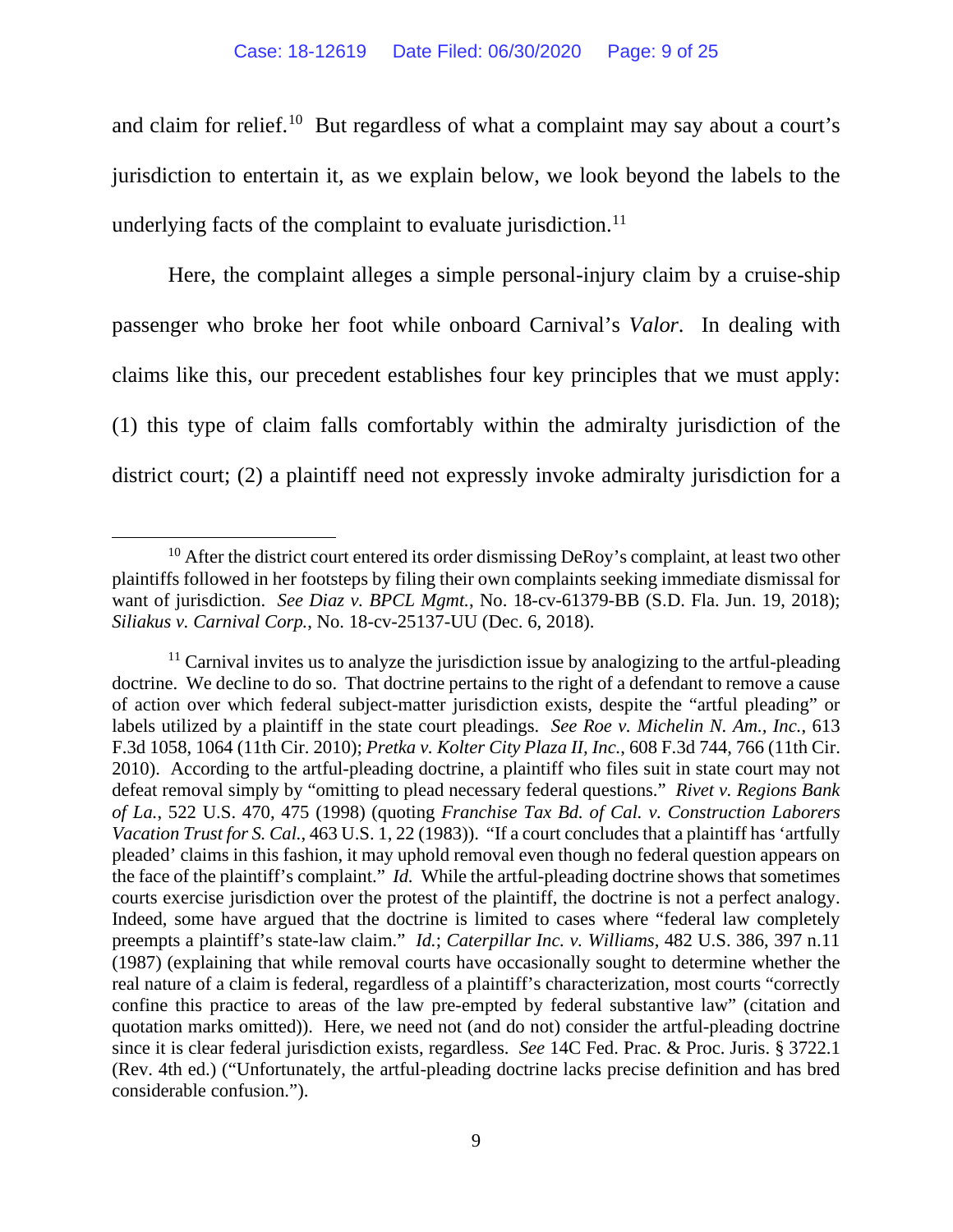and claim for relief.<sup>10</sup> But regardless of what a complaint may say about a court's jurisdiction to entertain it, as we explain below, we look beyond the labels to the underlying facts of the complaint to evaluate jurisdiction.<sup>11</sup>

Here, the complaint alleges a simple personal-injury claim by a cruise-ship passenger who broke her foot while onboard Carnival's *Valor*. In dealing with claims like this, our precedent establishes four key principles that we must apply: (1) this type of claim falls comfortably within the admiralty jurisdiction of the district court; (2) a plaintiff need not expressly invoke admiralty jurisdiction for a

<span id="page-8-0"></span> $10$  After the district court entered its order dismissing DeRoy's complaint, at least two other plaintiffs followed in her footsteps by filing their own complaints seeking immediate dismissal for want of jurisdiction. *See Diaz v. BPCL Mgmt.*, No. 18-cv-61379-BB (S.D. Fla. Jun. 19, 2018); *Siliakus v. Carnival Corp.*, No. 18-cv-25137-UU (Dec. 6, 2018).

<span id="page-8-1"></span> $11$  Carnival invites us to analyze the jurisdiction issue by analogizing to the artful-pleading doctrine. We decline to do so. That doctrine pertains to the right of a defendant to remove a cause of action over which federal subject-matter jurisdiction exists, despite the "artful pleading" or labels utilized by a plaintiff in the state court pleadings. *See Roe v. Michelin N. Am., Inc.*, 613 F.3d 1058, 1064 (11th Cir. 2010); *Pretka v. Kolter City Plaza II, Inc.*, 608 F.3d 744, 766 (11th Cir. 2010). According to the artful-pleading doctrine, a plaintiff who files suit in state court may not defeat removal simply by "omitting to plead necessary federal questions." *Rivet v. Regions Bank of La.*, 522 U.S. 470, 475 (1998) (quoting *Franchise Tax Bd. of Cal. v. Construction Laborers Vacation Trust for S. Cal.*, 463 U.S. 1, 22 (1983)). "If a court concludes that a plaintiff has 'artfully pleaded' claims in this fashion, it may uphold removal even though no federal question appears on the face of the plaintiff's complaint." *Id.* While the artful-pleading doctrine shows that sometimes courts exercise jurisdiction over the protest of the plaintiff, the doctrine is not a perfect analogy. Indeed, some have argued that the doctrine is limited to cases where "federal law completely preempts a plaintiff's state-law claim." *Id.*; *Caterpillar Inc. v. Williams*, 482 U.S. 386, 397 n.11 (1987) (explaining that while removal courts have occasionally sought to determine whether the real nature of a claim is federal, regardless of a plaintiff's characterization, most courts "correctly confine this practice to areas of the law pre-empted by federal substantive law" (citation and quotation marks omitted)). Here, we need not (and do not) consider the artful-pleading doctrine since it is clear federal jurisdiction exists, regardless. *See* 14C Fed. Prac. & Proc. Juris. § 3722.1 (Rev. 4th ed.) ("Unfortunately, the artful-pleading doctrine lacks precise definition and has bred considerable confusion.").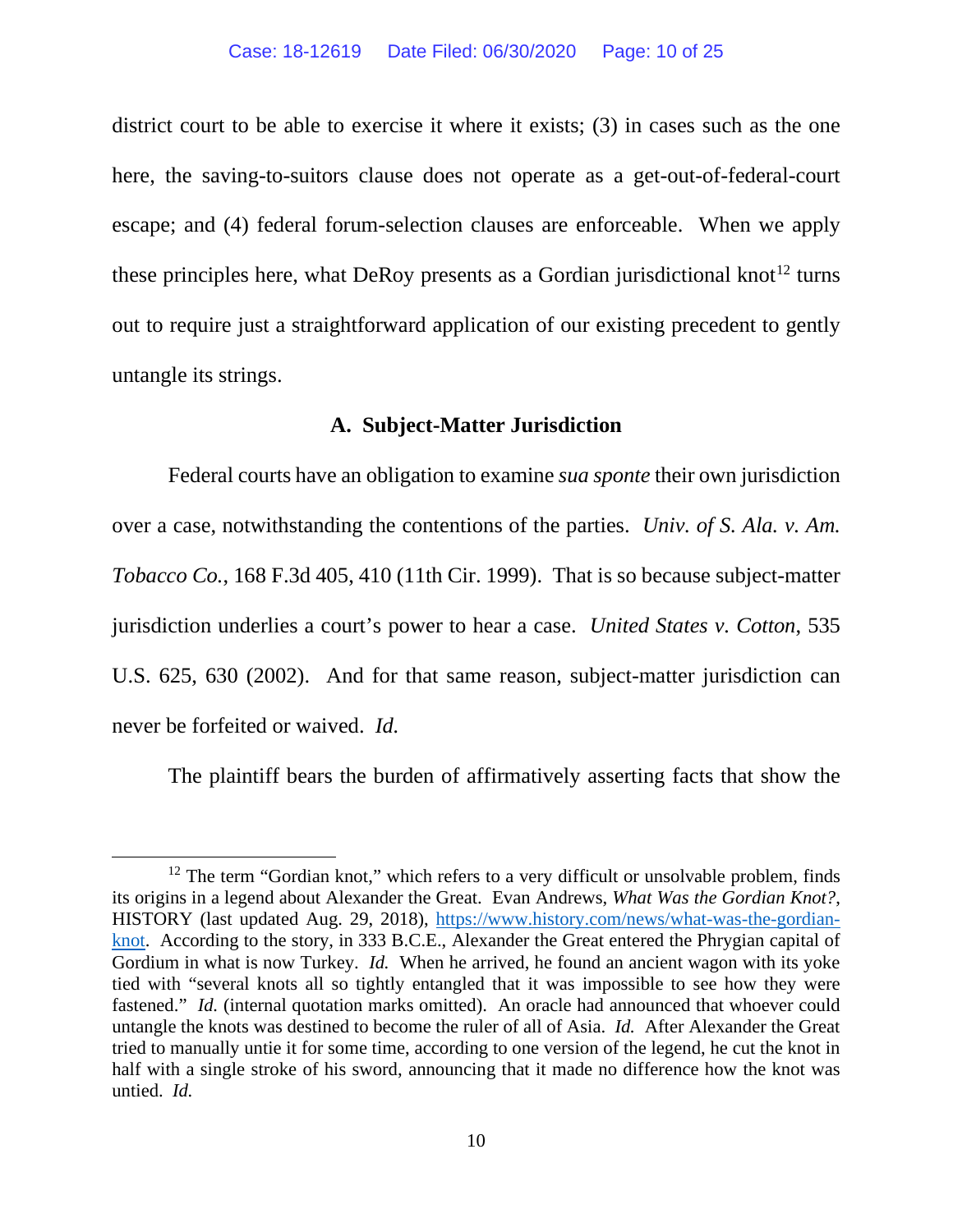district court to be able to exercise it where it exists; (3) in cases such as the one here, the saving-to-suitors clause does not operate as a get-out-of-federal-court escape; and (4) federal forum-selection clauses are enforceable. When we apply these principles here, what DeRoy presents as a Gordian jurisdictional knot<sup>[12](#page-9-0)</sup> turns out to require just a straightforward application of our existing precedent to gently untangle its strings.

#### **A. Subject-Matter Jurisdiction**

Federal courts have an obligation to examine *sua sponte* their own jurisdiction over a case, notwithstanding the contentions of the parties. *Univ. of S. Ala. v. Am. Tobacco Co.*, 168 F.3d 405, 410 (11th Cir. 1999). That is so because subject-matter jurisdiction underlies a court's power to hear a case. *United States v. Cotton*, 535 U.S. 625, 630 (2002). And for that same reason, subject-matter jurisdiction can never be forfeited or waived. *Id.*

The plaintiff bears the burden of affirmatively asserting facts that show the

<span id="page-9-0"></span> $12$  The term "Gordian knot," which refers to a very difficult or unsolvable problem, finds its origins in a legend about Alexander the Great. Evan Andrews, *What Was the Gordian Knot?*, HISTORY (last updated Aug. 29, 2018), [https://www.history.com/news/what-was-the-gordian](https://www.history.com/news/what-was-the-gordian-knot)[knot.](https://www.history.com/news/what-was-the-gordian-knot) According to the story, in 333 B.C.E., Alexander the Great entered the Phrygian capital of Gordium in what is now Turkey. *Id.* When he arrived, he found an ancient wagon with its yoke tied with "several knots all so tightly entangled that it was impossible to see how they were fastened." *Id.* (internal quotation marks omitted). An oracle had announced that whoever could untangle the knots was destined to become the ruler of all of Asia. *Id.* After Alexander the Great tried to manually untie it for some time, according to one version of the legend, he cut the knot in half with a single stroke of his sword, announcing that it made no difference how the knot was untied. *Id.*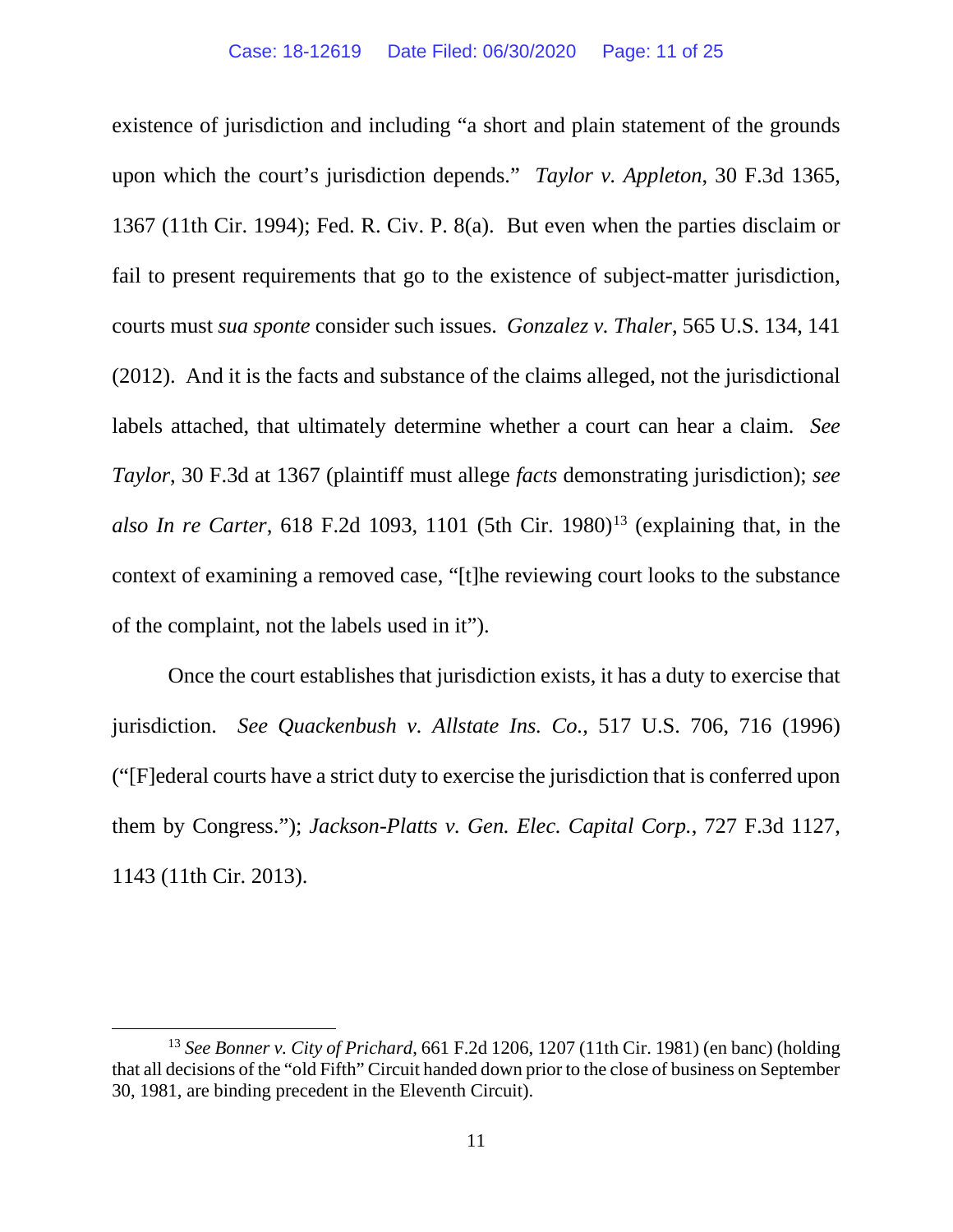existence of jurisdiction and including "a short and plain statement of the grounds upon which the court's jurisdiction depends." *Taylor v. Appleton*, 30 F.3d 1365, 1367 (11th Cir. 1994); Fed. R. Civ. P. 8(a). But even when the parties disclaim or fail to present requirements that go to the existence of subject-matter jurisdiction, courts must *sua sponte* consider such issues. *Gonzalez v. Thaler*, 565 U.S. 134, 141 (2012). And it is the facts and substance of the claims alleged, not the jurisdictional labels attached, that ultimately determine whether a court can hear a claim. *See Taylor*, 30 F.3d at 1367 (plaintiff must allege *facts* demonstrating jurisdiction); *see also In re Carter*, 618 F.2d 1093, 1101 (5th Cir. 1980)<sup>[13](#page-10-0)</sup> (explaining that, in the context of examining a removed case, "[t]he reviewing court looks to the substance of the complaint, not the labels used in it").

Once the court establishes that jurisdiction exists, it has a duty to exercise that jurisdiction. *See Quackenbush v. Allstate Ins. Co.*, 517 U.S. 706, 716 (1996) ("[F]ederal courts have a strict duty to exercise the jurisdiction that is conferred upon them by Congress."); *Jackson-Platts v. Gen. Elec. Capital Corp.*, 727 F.3d 1127, 1143 (11th Cir. 2013).

<span id="page-10-0"></span><sup>13</sup> *See Bonner v. City of Prichard*, 661 F.2d 1206, 1207 (11th Cir. 1981) (en banc) (holding that all decisions of the "old Fifth" Circuit handed down prior to the close of business on September 30, 1981, are binding precedent in the Eleventh Circuit).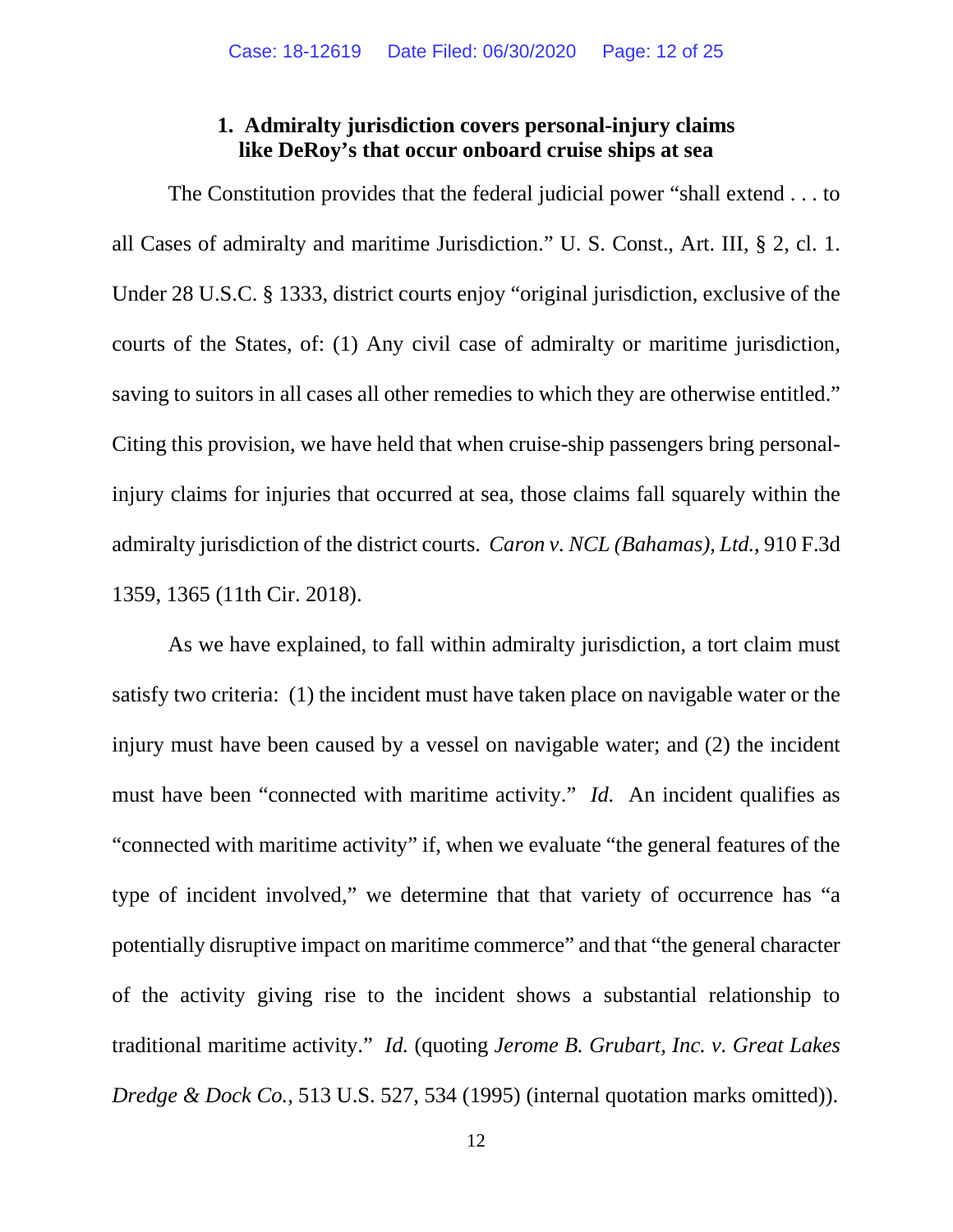### **1. Admiralty jurisdiction covers personal-injury claims like DeRoy's that occur onboard cruise ships at sea**

The Constitution provides that the federal judicial power "shall extend . . . to all Cases of admiralty and maritime Jurisdiction." U. S. Const., Art. III, § 2, cl. 1. Under 28 U.S.C. § 1333, district courts enjoy "original jurisdiction, exclusive of the courts of the States, of: (1) Any civil case of admiralty or maritime jurisdiction, saving to suitors in all cases all other remedies to which they are otherwise entitled." Citing this provision, we have held that when cruise-ship passengers bring personalinjury claims for injuries that occurred at sea, those claims fall squarely within the admiralty jurisdiction of the district courts. *Caron v. NCL (Bahamas), Ltd.*, 910 F.3d 1359, 1365 (11th Cir. 2018).

As we have explained, to fall within admiralty jurisdiction, a tort claim must satisfy two criteria: (1) the incident must have taken place on navigable water or the injury must have been caused by a vessel on navigable water; and (2) the incident must have been "connected with maritime activity." *Id.* An incident qualifies as "connected with maritime activity" if, when we evaluate "the general features of the type of incident involved," we determine that that variety of occurrence has "a potentially disruptive impact on maritime commerce" and that "the general character of the activity giving rise to the incident shows a substantial relationship to traditional maritime activity." *Id.* (quoting *Jerome B. Grubart, Inc. v. Great Lakes Dredge & Dock Co.*, 513 U.S. 527, 534 (1995) (internal quotation marks omitted)).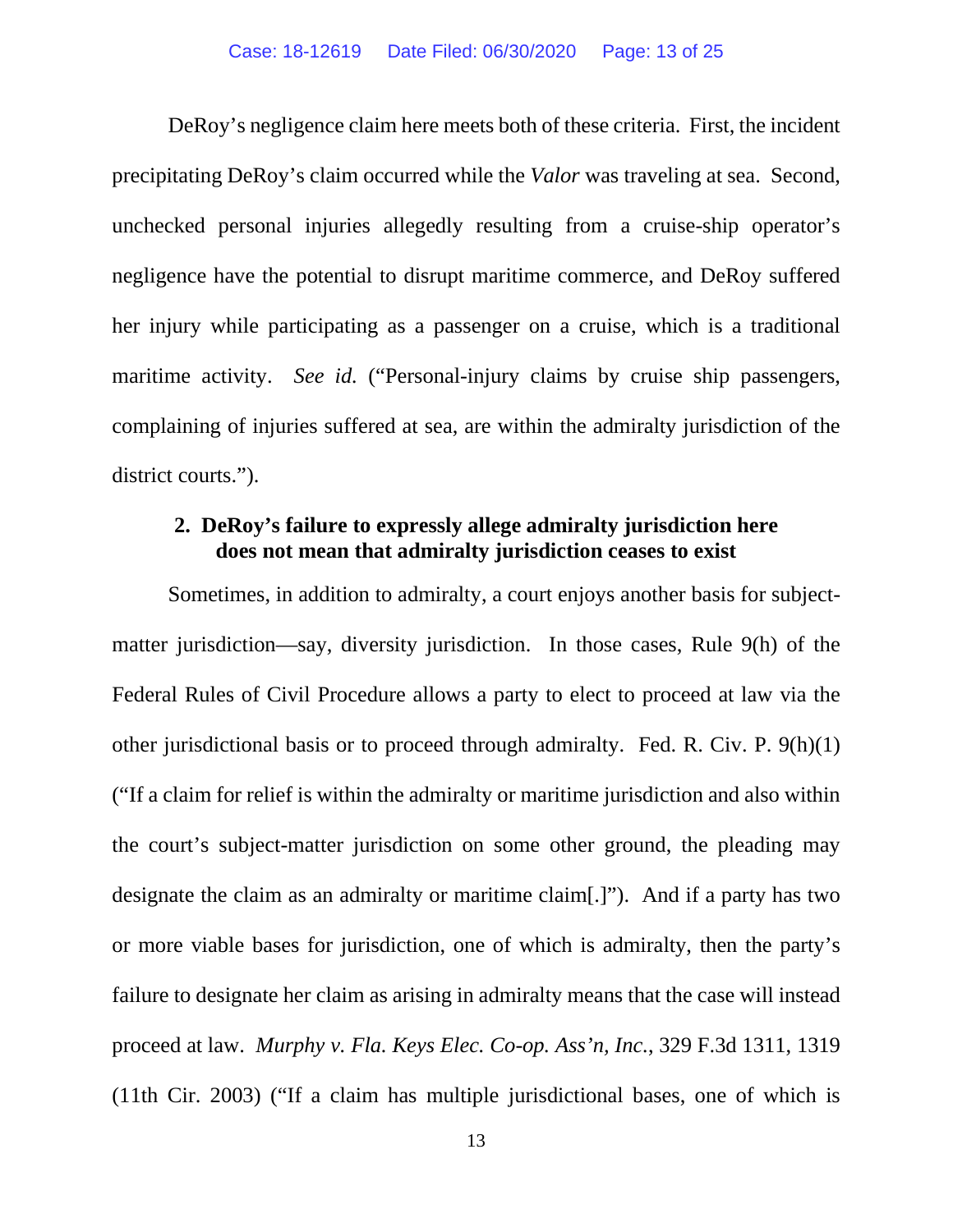DeRoy's negligence claim here meets both of these criteria. First, the incident precipitating DeRoy's claim occurred while the *Valor* was traveling at sea. Second, unchecked personal injuries allegedly resulting from a cruise-ship operator's negligence have the potential to disrupt maritime commerce, and DeRoy suffered her injury while participating as a passenger on a cruise, which is a traditional maritime activity. *See id.* ("Personal-injury claims by cruise ship passengers, complaining of injuries suffered at sea, are within the admiralty jurisdiction of the district courts.").

### **2. DeRoy's failure to expressly allege admiralty jurisdiction here does not mean that admiralty jurisdiction ceases to exist**

Sometimes, in addition to admiralty, a court enjoys another basis for subjectmatter jurisdiction—say, diversity jurisdiction. In those cases, Rule 9(h) of the Federal Rules of Civil Procedure allows a party to elect to proceed at law via the other jurisdictional basis or to proceed through admiralty. Fed. R. Civ. P. 9(h)(1) ("If a claim for relief is within the admiralty or maritime jurisdiction and also within the court's subject-matter jurisdiction on some other ground, the pleading may designate the claim as an admiralty or maritime claim[.]"). And if a party has two or more viable bases for jurisdiction, one of which is admiralty, then the party's failure to designate her claim as arising in admiralty means that the case will instead proceed at law. *Murphy v. Fla. Keys Elec. Co-op. Ass'n, Inc.*, 329 F.3d 1311, 1319 (11th Cir. 2003) ("If a claim has multiple jurisdictional bases, one of which is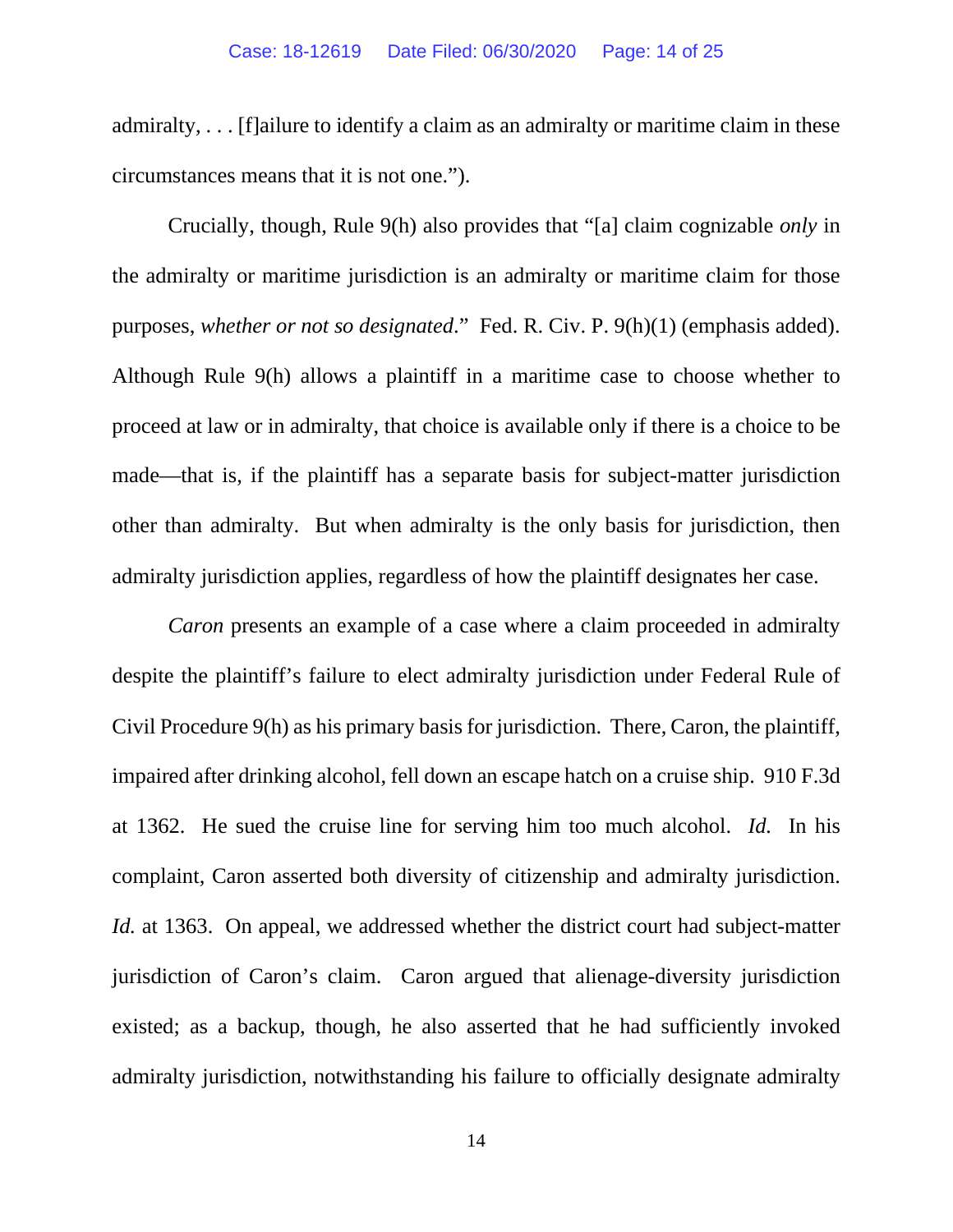admiralty, . . . [f]ailure to identify a claim as an admiralty or maritime claim in these circumstances means that it is not one.").

Crucially, though, Rule 9(h) also provides that "[a] claim cognizable *only* in the admiralty or maritime jurisdiction is an admiralty or maritime claim for those purposes, *whether or not so designated*." Fed. R. Civ. P. 9(h)(1) (emphasis added). Although Rule 9(h) allows a plaintiff in a maritime case to choose whether to proceed at law or in admiralty, that choice is available only if there is a choice to be made—that is, if the plaintiff has a separate basis for subject-matter jurisdiction other than admiralty. But when admiralty is the only basis for jurisdiction, then admiralty jurisdiction applies, regardless of how the plaintiff designates her case.

*Caron* presents an example of a case where a claim proceeded in admiralty despite the plaintiff's failure to elect admiralty jurisdiction under Federal Rule of Civil Procedure 9(h) as his primary basis for jurisdiction. There, Caron, the plaintiff, impaired after drinking alcohol, fell down an escape hatch on a cruise ship. 910 F.3d at 1362. He sued the cruise line for serving him too much alcohol. *Id.* In his complaint, Caron asserted both diversity of citizenship and admiralty jurisdiction. *Id.* at 1363. On appeal, we addressed whether the district court had subject-matter jurisdiction of Caron's claim. Caron argued that alienage-diversity jurisdiction existed; as a backup, though, he also asserted that he had sufficiently invoked admiralty jurisdiction, notwithstanding his failure to officially designate admiralty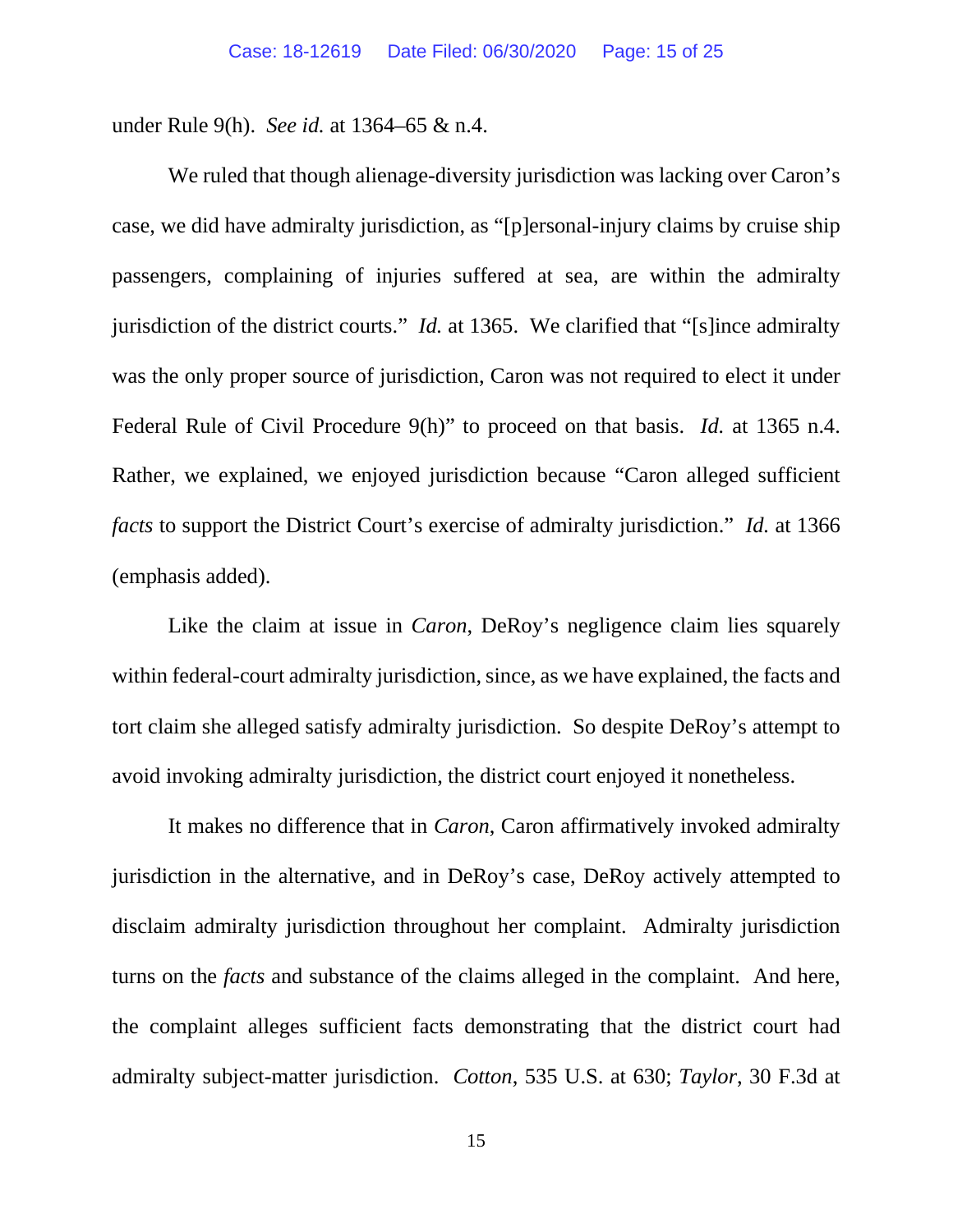under Rule 9(h). *See id.* at 1364–65 & n.4.

We ruled that though alienage-diversity jurisdiction was lacking over Caron's case, we did have admiralty jurisdiction, as "[p]ersonal-injury claims by cruise ship passengers, complaining of injuries suffered at sea, are within the admiralty jurisdiction of the district courts." *Id.* at 1365. We clarified that "[s]ince admiralty was the only proper source of jurisdiction, Caron was not required to elect it under Federal Rule of Civil Procedure 9(h)" to proceed on that basis. *Id.* at 1365 n.4. Rather, we explained, we enjoyed jurisdiction because "Caron alleged sufficient *facts* to support the District Court's exercise of admiralty jurisdiction." *Id.* at 1366 (emphasis added).

Like the claim at issue in *Caron*, DeRoy's negligence claim lies squarely within federal-court admiralty jurisdiction, since, as we have explained, the facts and tort claim she alleged satisfy admiralty jurisdiction. So despite DeRoy's attempt to avoid invoking admiralty jurisdiction, the district court enjoyed it nonetheless.

It makes no difference that in *Caron*, Caron affirmatively invoked admiralty jurisdiction in the alternative, and in DeRoy's case, DeRoy actively attempted to disclaim admiralty jurisdiction throughout her complaint. Admiralty jurisdiction turns on the *facts* and substance of the claims alleged in the complaint. And here, the complaint alleges sufficient facts demonstrating that the district court had admiralty subject-matter jurisdiction. *Cotton*, 535 U.S. at 630; *Taylor*, 30 F.3d at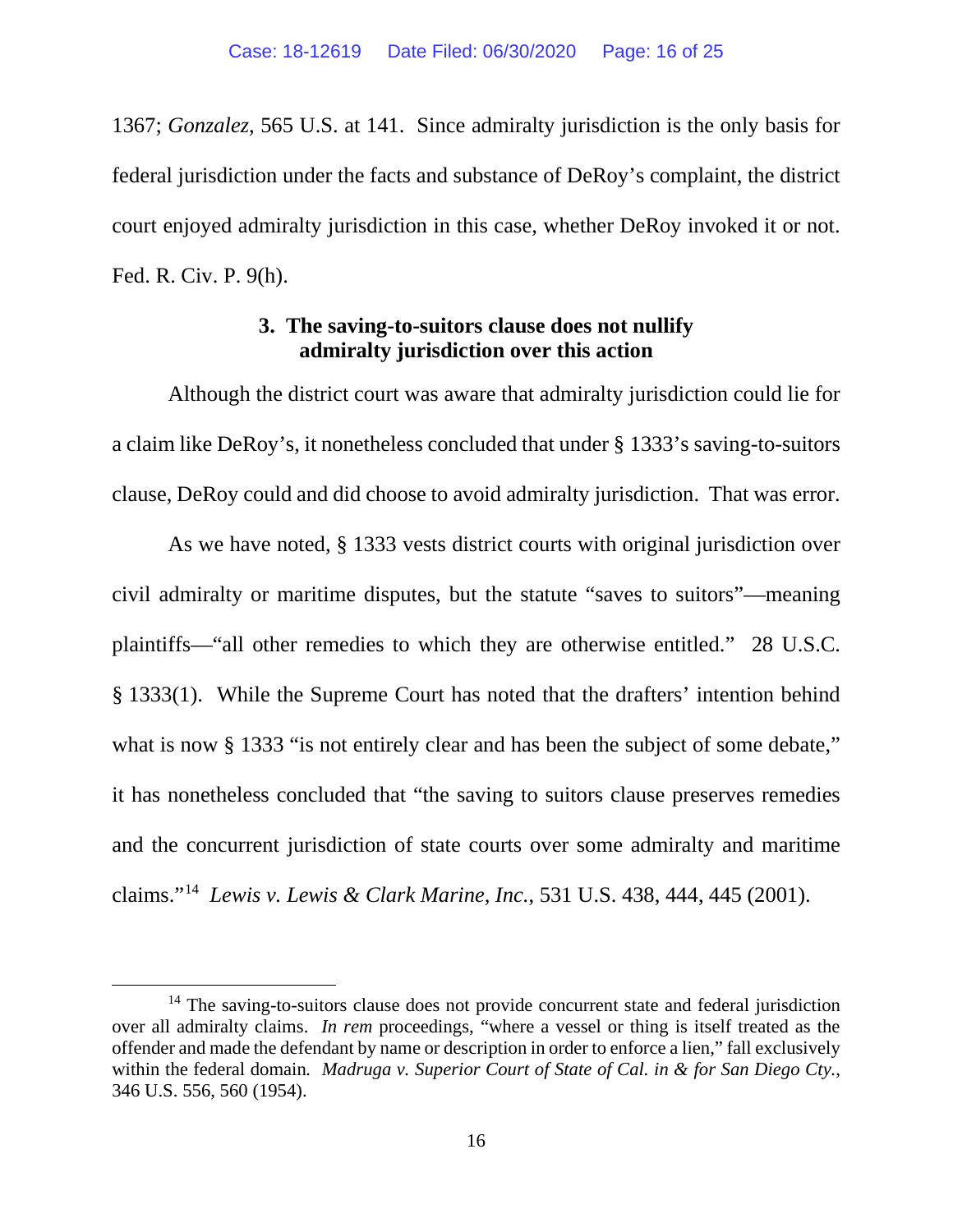1367; *Gonzalez*, 565 U.S. at 141. Since admiralty jurisdiction is the only basis for federal jurisdiction under the facts and substance of DeRoy's complaint, the district court enjoyed admiralty jurisdiction in this case, whether DeRoy invoked it or not. Fed. R. Civ. P. 9(h).

### **3. The saving-to-suitors clause does not nullify admiralty jurisdiction over this action**

Although the district court was aware that admiralty jurisdiction could lie for a claim like DeRoy's, it nonetheless concluded that under § 1333's saving-to-suitors clause, DeRoy could and did choose to avoid admiralty jurisdiction. That was error.

As we have noted, § 1333 vests district courts with original jurisdiction over civil admiralty or maritime disputes, but the statute "saves to suitors"—meaning plaintiffs—"all other remedies to which they are otherwise entitled." 28 U.S.C. § 1333(1). While the Supreme Court has noted that the drafters' intention behind what is now § 1333 "is not entirely clear and has been the subject of some debate," it has nonetheless concluded that "the saving to suitors clause preserves remedies and the concurrent jurisdiction of state courts over some admiralty and maritime claims."[14](#page-15-0) *Lewis v. Lewis & Clark Marine, Inc.*, 531 U.S. 438, 444, 445 (2001).

<span id="page-15-0"></span><sup>&</sup>lt;sup>14</sup> The saving-to-suitors clause does not provide concurrent state and federal jurisdiction over all admiralty claims. *In rem* proceedings, "where a vessel or thing is itself treated as the offender and made the defendant by name or description in order to enforce a lien," fall exclusively within the federal domain*. Madruga v. Superior Court of State of Cal. in & for San Diego Cty.*, 346 U.S. 556, 560 (1954).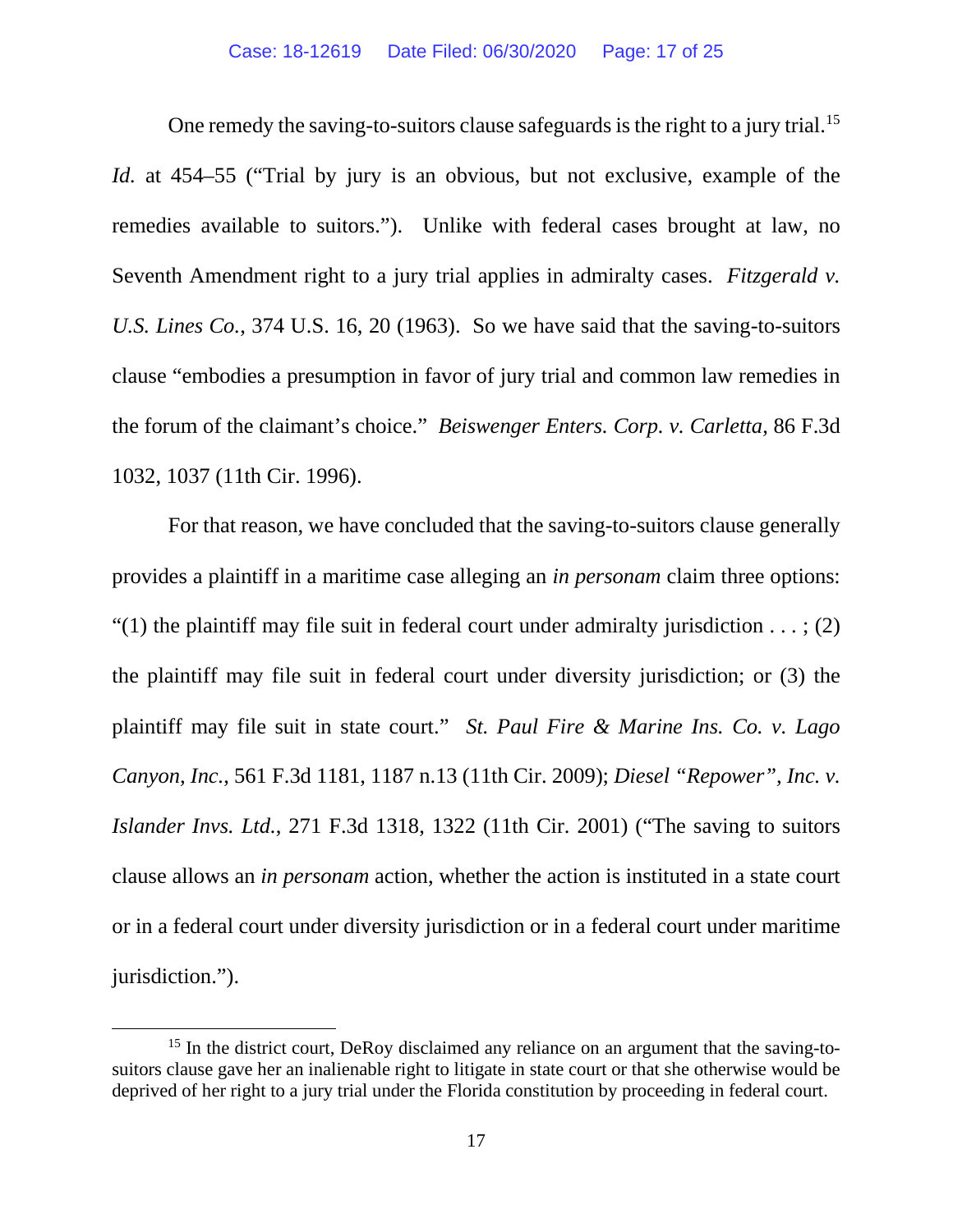One remedy the saving-to-suitors clause safeguards is the right to a jury trial.<sup>[15](#page-16-0)</sup> *Id.* at 454–55 ("Trial by jury is an obvious, but not exclusive, example of the remedies available to suitors."). Unlike with federal cases brought at law, no Seventh Amendment right to a jury trial applies in admiralty cases. *Fitzgerald v. U.S. Lines Co.*, 374 U.S. 16, 20 (1963). So we have said that the saving-to-suitors clause "embodies a presumption in favor of jury trial and common law remedies in the forum of the claimant's choice." *Beiswenger Enters. Corp. v. Carletta*, 86 F.3d 1032, 1037 (11th Cir. 1996).

For that reason, we have concluded that the saving-to-suitors clause generally provides a plaintiff in a maritime case alleging an *in personam* claim three options: "(1) the plaintiff may file suit in federal court under admiralty jurisdiction  $\dots$ ; (2) the plaintiff may file suit in federal court under diversity jurisdiction; or (3) the plaintiff may file suit in state court." *St. Paul Fire & Marine Ins. Co. v. Lago Canyon, Inc.*, 561 F.3d 1181, 1187 n.13 (11th Cir. 2009); *Diesel "Repower", Inc. v. Islander Invs. Ltd.*, 271 F.3d 1318, 1322 (11th Cir. 2001) ("The saving to suitors clause allows an *in personam* action, whether the action is instituted in a state court or in a federal court under diversity jurisdiction or in a federal court under maritime jurisdiction.").

<span id="page-16-0"></span><sup>&</sup>lt;sup>15</sup> In the district court, DeRoy disclaimed any reliance on an argument that the saving-tosuitors clause gave her an inalienable right to litigate in state court or that she otherwise would be deprived of her right to a jury trial under the Florida constitution by proceeding in federal court.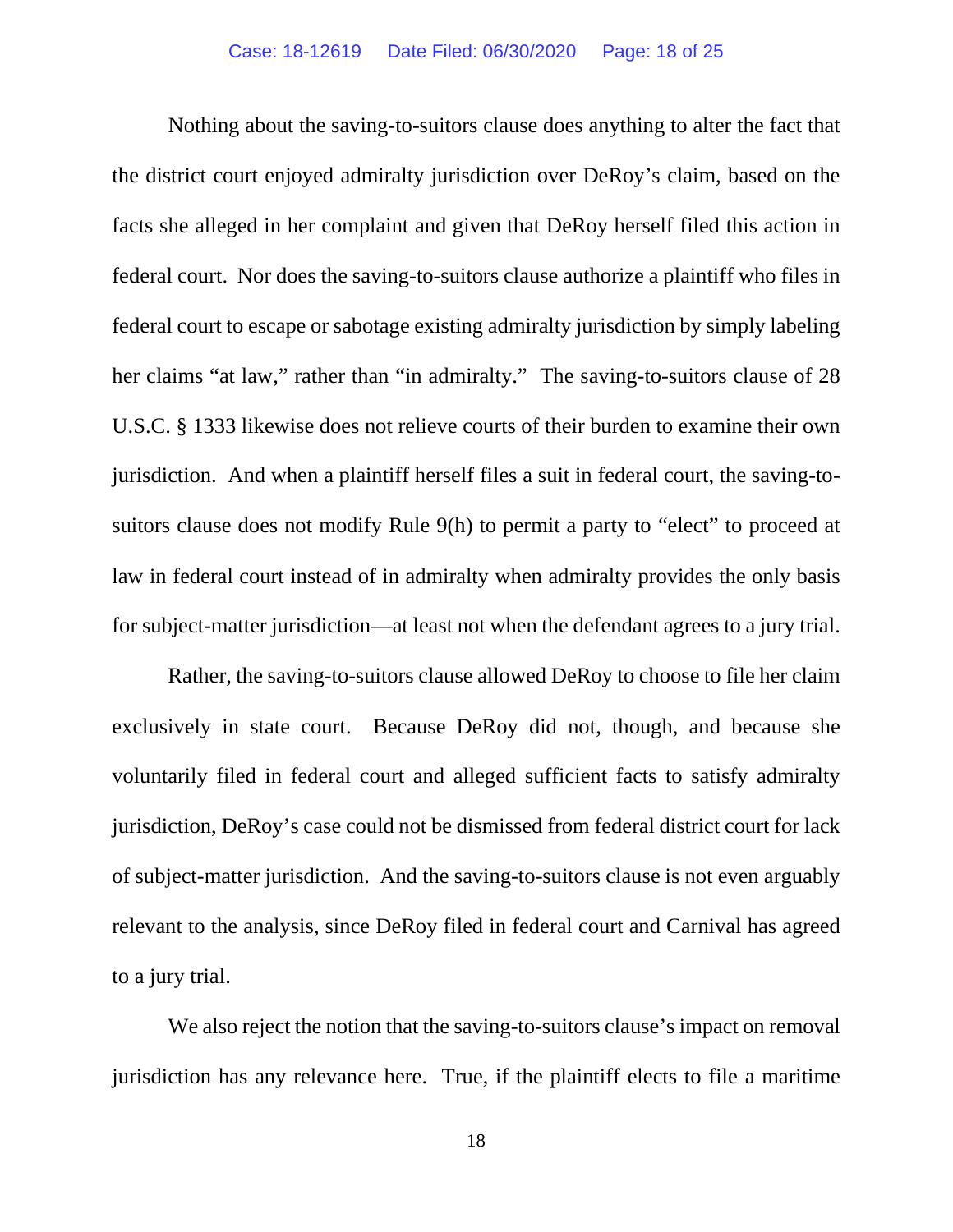Nothing about the saving-to-suitors clause does anything to alter the fact that the district court enjoyed admiralty jurisdiction over DeRoy's claim, based on the facts she alleged in her complaint and given that DeRoy herself filed this action in federal court. Nor does the saving-to-suitors clause authorize a plaintiff who files in federal court to escape or sabotage existing admiralty jurisdiction by simply labeling her claims "at law," rather than "in admiralty." The saving-to-suitors clause of 28 U.S.C. § 1333 likewise does not relieve courts of their burden to examine their own jurisdiction. And when a plaintiff herself files a suit in federal court, the saving-tosuitors clause does not modify Rule 9(h) to permit a party to "elect" to proceed at law in federal court instead of in admiralty when admiralty provides the only basis for subject-matter jurisdiction—at least not when the defendant agrees to a jury trial.

Rather, the saving-to-suitors clause allowed DeRoy to choose to file her claim exclusively in state court. Because DeRoy did not, though, and because she voluntarily filed in federal court and alleged sufficient facts to satisfy admiralty jurisdiction, DeRoy's case could not be dismissed from federal district court for lack of subject-matter jurisdiction. And the saving-to-suitors clause is not even arguably relevant to the analysis, since DeRoy filed in federal court and Carnival has agreed to a jury trial.

We also reject the notion that the saving-to-suitors clause's impact on removal jurisdiction has any relevance here. True, if the plaintiff elects to file a maritime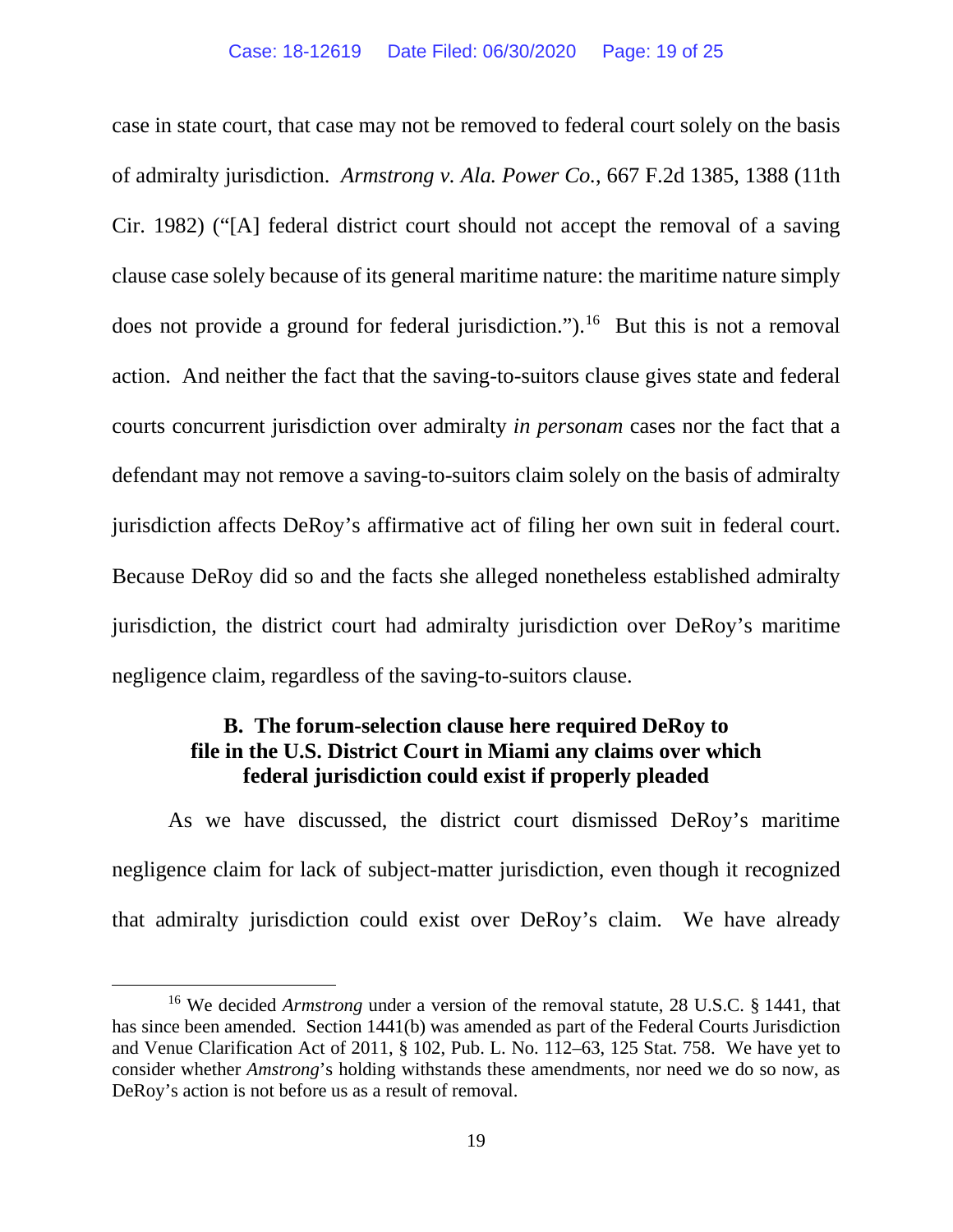case in state court, that case may not be removed to federal court solely on the basis of admiralty jurisdiction. *Armstrong v. Ala. Power Co.*, 667 F.2d 1385, 1388 (11th Cir. 1982) ("[A] federal district court should not accept the removal of a saving clause case solely because of its general maritime nature: the maritime nature simply does not provide a ground for federal jurisdiction."). [16](#page-18-0) But this is not a removal action. And neither the fact that the saving-to-suitors clause gives state and federal courts concurrent jurisdiction over admiralty *in personam* cases nor the fact that a defendant may not remove a saving-to-suitors claim solely on the basis of admiralty jurisdiction affects DeRoy's affirmative act of filing her own suit in federal court. Because DeRoy did so and the facts she alleged nonetheless established admiralty jurisdiction, the district court had admiralty jurisdiction over DeRoy's maritime negligence claim, regardless of the saving-to-suitors clause.

### **B. The forum-selection clause here required DeRoy to file in the U.S. District Court in Miami any claims over which federal jurisdiction could exist if properly pleaded**

As we have discussed, the district court dismissed DeRoy's maritime negligence claim for lack of subject-matter jurisdiction, even though it recognized that admiralty jurisdiction could exist over DeRoy's claim. We have already

<span id="page-18-0"></span><sup>16</sup> We decided *Armstrong* under a version of the removal statute, 28 U.S.C. § 1441, that has since been amended. Section 1441(b) was amended as part of the Federal Courts Jurisdiction and Venue Clarification Act of 2011, § 102, Pub. L. No. 112–63, 125 Stat. 758. We have yet to consider whether *Amstrong*'s holding withstands these amendments, nor need we do so now, as DeRoy's action is not before us as a result of removal.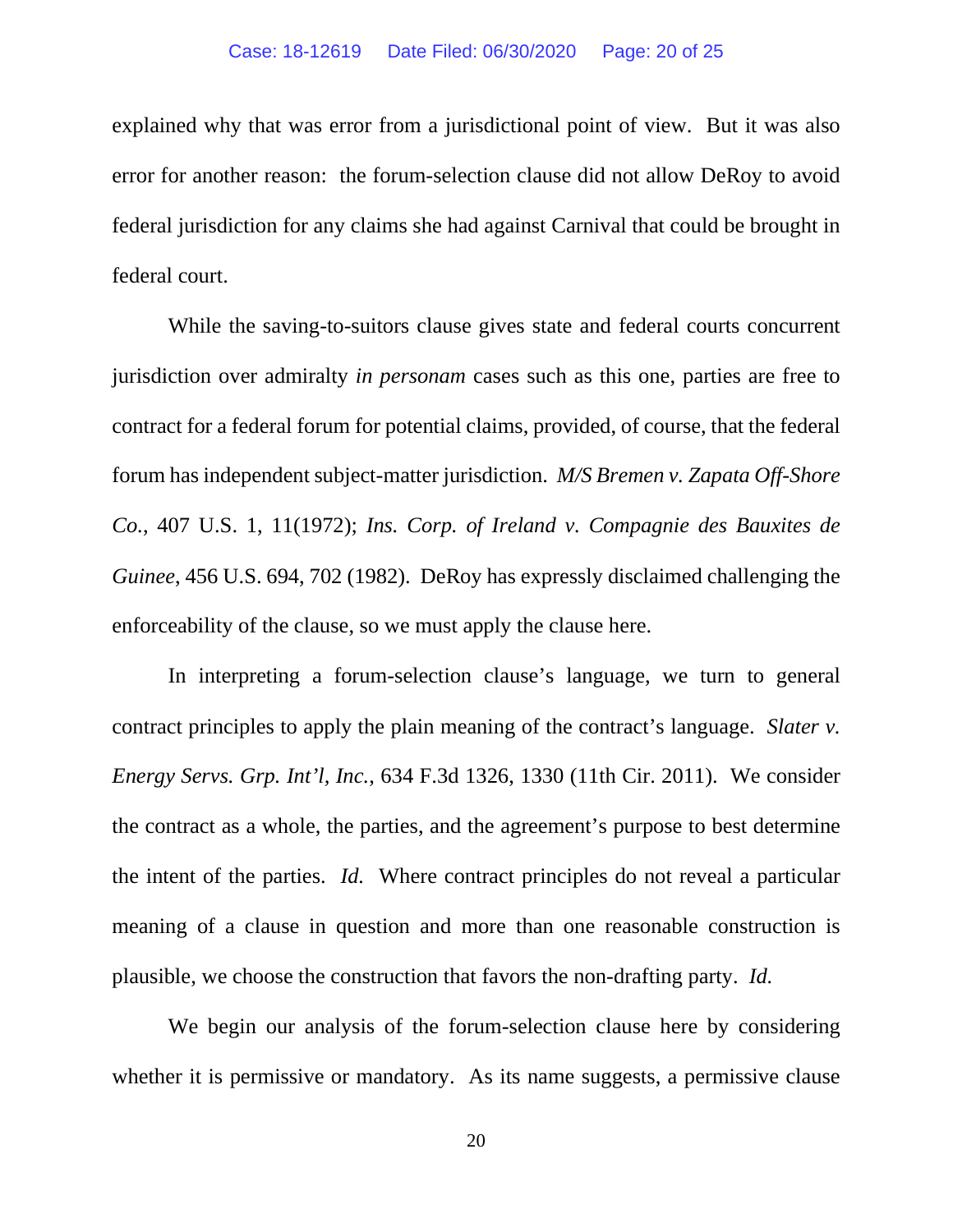explained why that was error from a jurisdictional point of view. But it was also error for another reason: the forum-selection clause did not allow DeRoy to avoid federal jurisdiction for any claims she had against Carnival that could be brought in federal court.

While the saving-to-suitors clause gives state and federal courts concurrent jurisdiction over admiralty *in personam* cases such as this one, parties are free to contract for a federal forum for potential claims, provided, of course, that the federal forum has independent subject-matter jurisdiction. *M/S Bremen v. Zapata Off-Shore Co.*, 407 U.S. 1, 11(1972); *Ins. Corp. of Ireland v. Compagnie des Bauxites de Guinee*, 456 U.S. 694, 702 (1982). DeRoy has expressly disclaimed challenging the enforceability of the clause, so we must apply the clause here.

In interpreting a forum-selection clause's language, we turn to general contract principles to apply the plain meaning of the contract's language. *Slater v. Energy Servs. Grp. Int'l, Inc.*, 634 F.3d 1326, 1330 (11th Cir. 2011). We consider the contract as a whole, the parties, and the agreement's purpose to best determine the intent of the parties. *Id.* Where contract principles do not reveal a particular meaning of a clause in question and more than one reasonable construction is plausible, we choose the construction that favors the non-drafting party. *Id.*

We begin our analysis of the forum-selection clause here by considering whether it is permissive or mandatory. As its name suggests, a permissive clause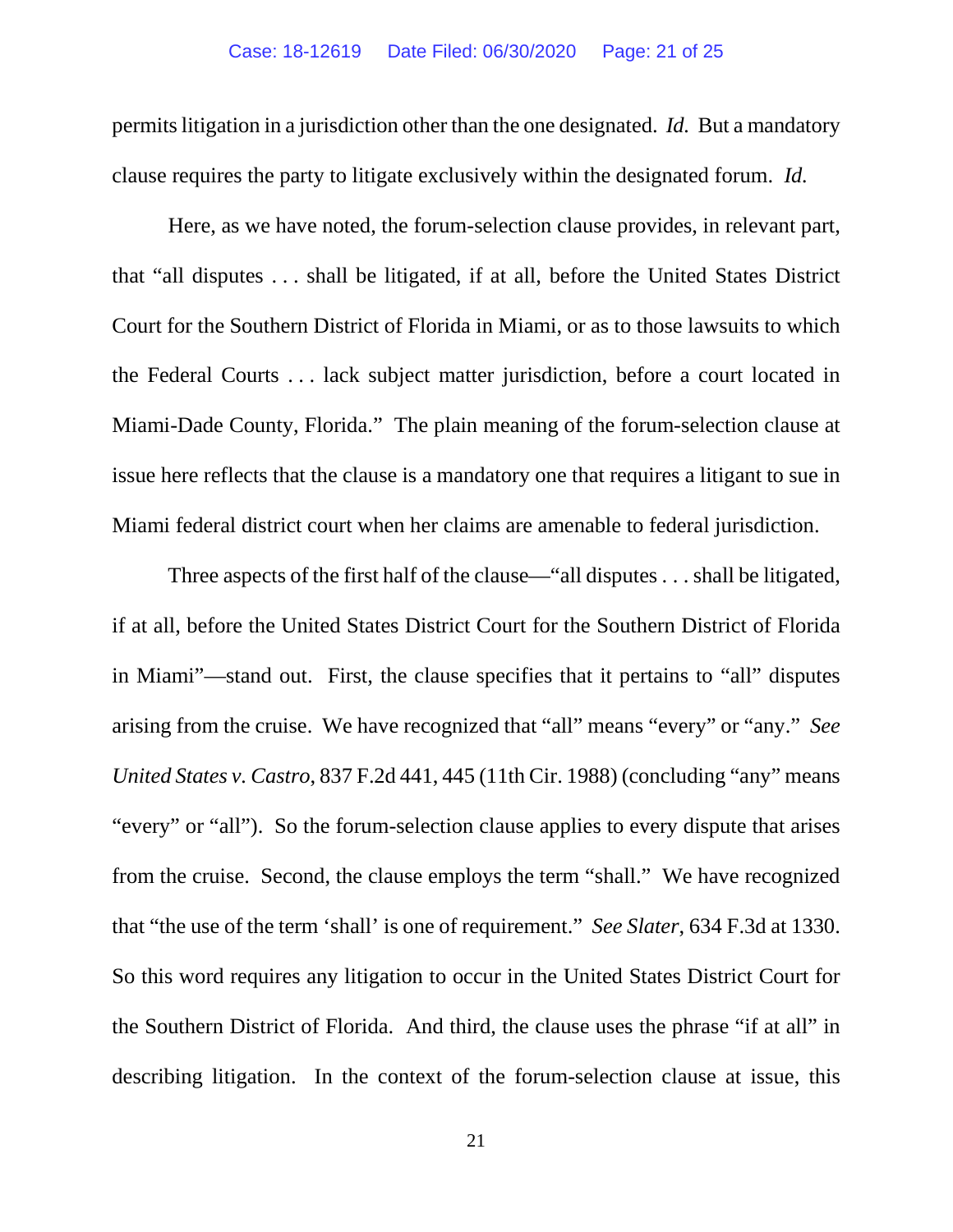permitslitigation in a jurisdiction other than the one designated. *Id.* But a mandatory clause requires the party to litigate exclusively within the designated forum. *Id.*

Here, as we have noted, the forum-selection clause provides, in relevant part, that "all disputes . . . shall be litigated, if at all, before the United States District Court for the Southern District of Florida in Miami, or as to those lawsuits to which the Federal Courts . . . lack subject matter jurisdiction, before a court located in Miami-Dade County, Florida." The plain meaning of the forum-selection clause at issue here reflects that the clause is a mandatory one that requires a litigant to sue in Miami federal district court when her claims are amenable to federal jurisdiction.

Three aspects of the first half of the clause—"all disputes . . . shall be litigated, if at all, before the United States District Court for the Southern District of Florida in Miami"—stand out. First, the clause specifies that it pertains to "all" disputes arising from the cruise. We have recognized that "all" means "every" or "any." *See United States v. Castro*, 837 F.2d 441, 445 (11th Cir. 1988) (concluding "any" means "every" or "all"). So the forum-selection clause applies to every dispute that arises from the cruise. Second, the clause employs the term "shall." We have recognized that "the use of the term 'shall' is one of requirement." *See Slater*, 634 F.3d at 1330. So this word requires any litigation to occur in the United States District Court for the Southern District of Florida. And third, the clause uses the phrase "if at all" in describing litigation. In the context of the forum-selection clause at issue, this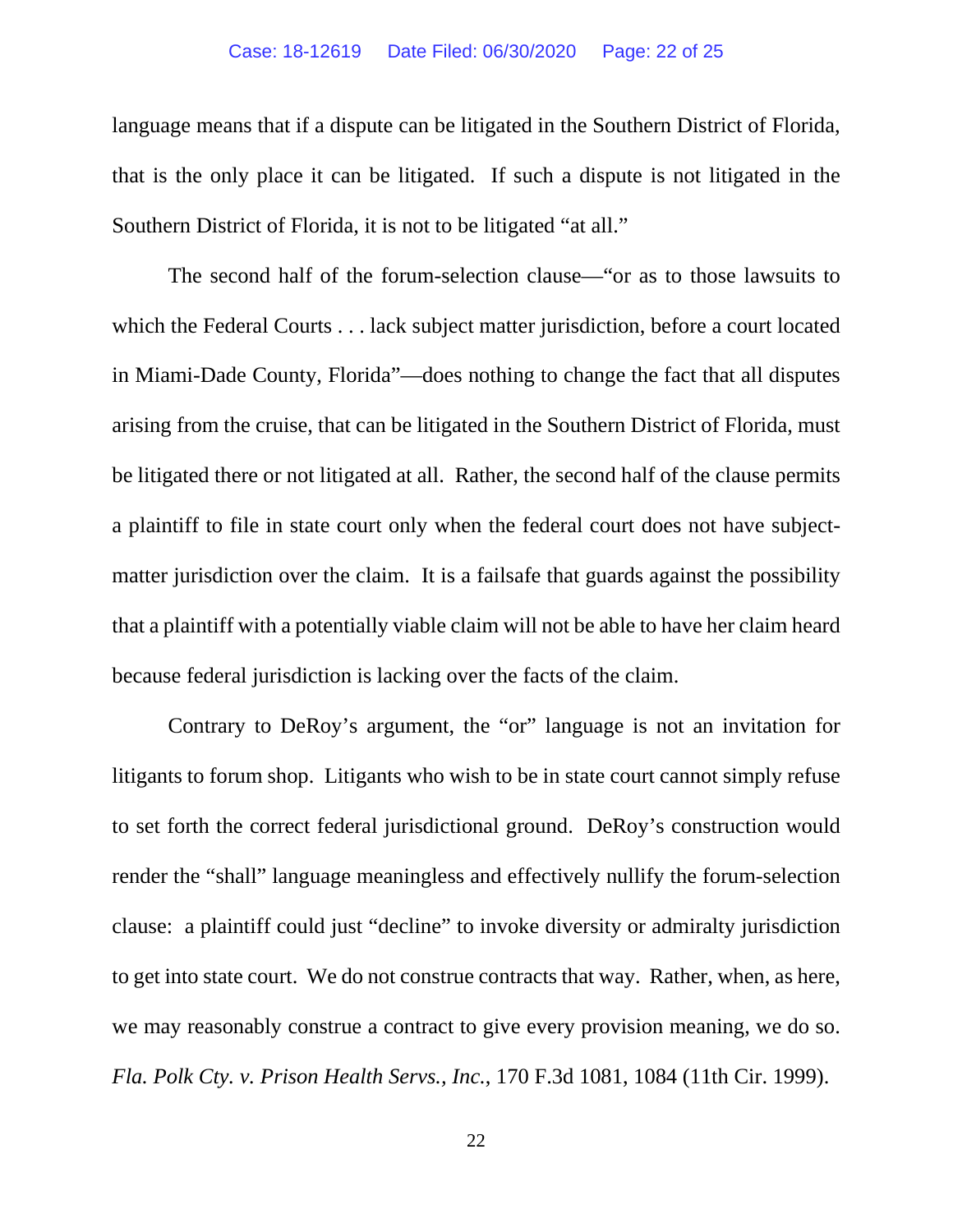language means that if a dispute can be litigated in the Southern District of Florida, that is the only place it can be litigated. If such a dispute is not litigated in the Southern District of Florida, it is not to be litigated "at all."

The second half of the forum-selection clause—"or as to those lawsuits to which the Federal Courts . . . lack subject matter jurisdiction, before a court located in Miami-Dade County, Florida"—does nothing to change the fact that all disputes arising from the cruise, that can be litigated in the Southern District of Florida, must be litigated there or not litigated at all. Rather, the second half of the clause permits a plaintiff to file in state court only when the federal court does not have subjectmatter jurisdiction over the claim. It is a failsafe that guards against the possibility that a plaintiff with a potentially viable claim will not be able to have her claim heard because federal jurisdiction is lacking over the facts of the claim.

Contrary to DeRoy's argument, the "or" language is not an invitation for litigants to forum shop. Litigants who wish to be in state court cannot simply refuse to set forth the correct federal jurisdictional ground. DeRoy's construction would render the "shall" language meaningless and effectively nullify the forum-selection clause: a plaintiff could just "decline" to invoke diversity or admiralty jurisdiction to get into state court. We do not construe contracts that way. Rather, when, as here, we may reasonably construe a contract to give every provision meaning, we do so. *Fla. Polk Cty. v. Prison Health Servs., Inc.*, 170 F.3d 1081, 1084 (11th Cir. 1999).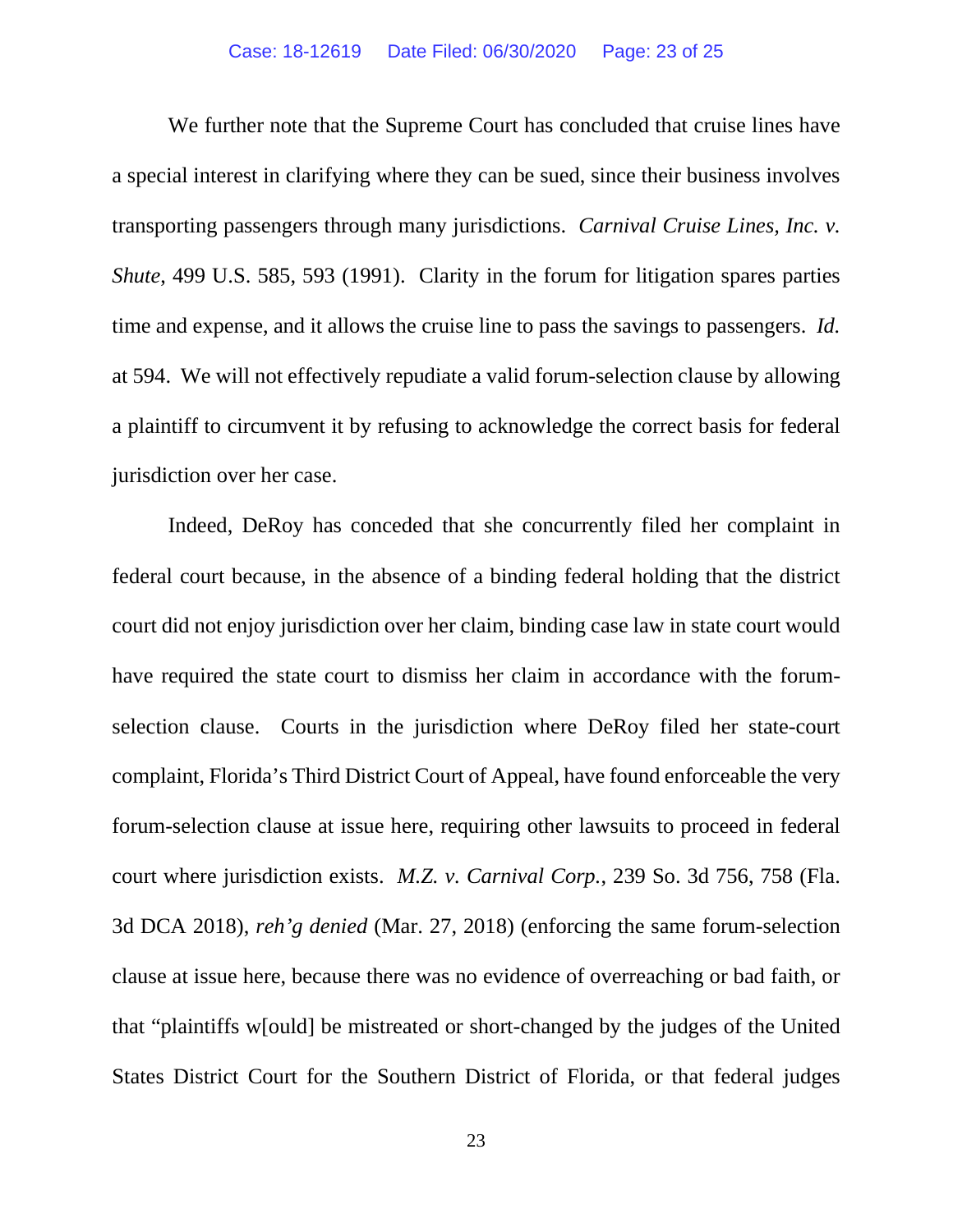We further note that the Supreme Court has concluded that cruise lines have a special interest in clarifying where they can be sued, since their business involves transporting passengers through many jurisdictions. *Carnival Cruise Lines, Inc. v. Shute*, 499 U.S. 585, 593 (1991). Clarity in the forum for litigation spares parties time and expense, and it allows the cruise line to pass the savings to passengers. *Id.* at 594. We will not effectively repudiate a valid forum-selection clause by allowing a plaintiff to circumvent it by refusing to acknowledge the correct basis for federal jurisdiction over her case.

Indeed, DeRoy has conceded that she concurrently filed her complaint in federal court because, in the absence of a binding federal holding that the district court did not enjoy jurisdiction over her claim, binding case law in state court would have required the state court to dismiss her claim in accordance with the forumselection clause. Courts in the jurisdiction where DeRoy filed her state-court complaint, Florida's Third District Court of Appeal, have found enforceable the very forum-selection clause at issue here, requiring other lawsuits to proceed in federal court where jurisdiction exists. *M.Z. v. Carnival Corp.*, 239 So. 3d 756, 758 (Fla. 3d DCA 2018), *reh'g denied* (Mar. 27, 2018) (enforcing the same forum-selection clause at issue here, because there was no evidence of overreaching or bad faith, or that "plaintiffs w[ould] be mistreated or short-changed by the judges of the United States District Court for the Southern District of Florida, or that federal judges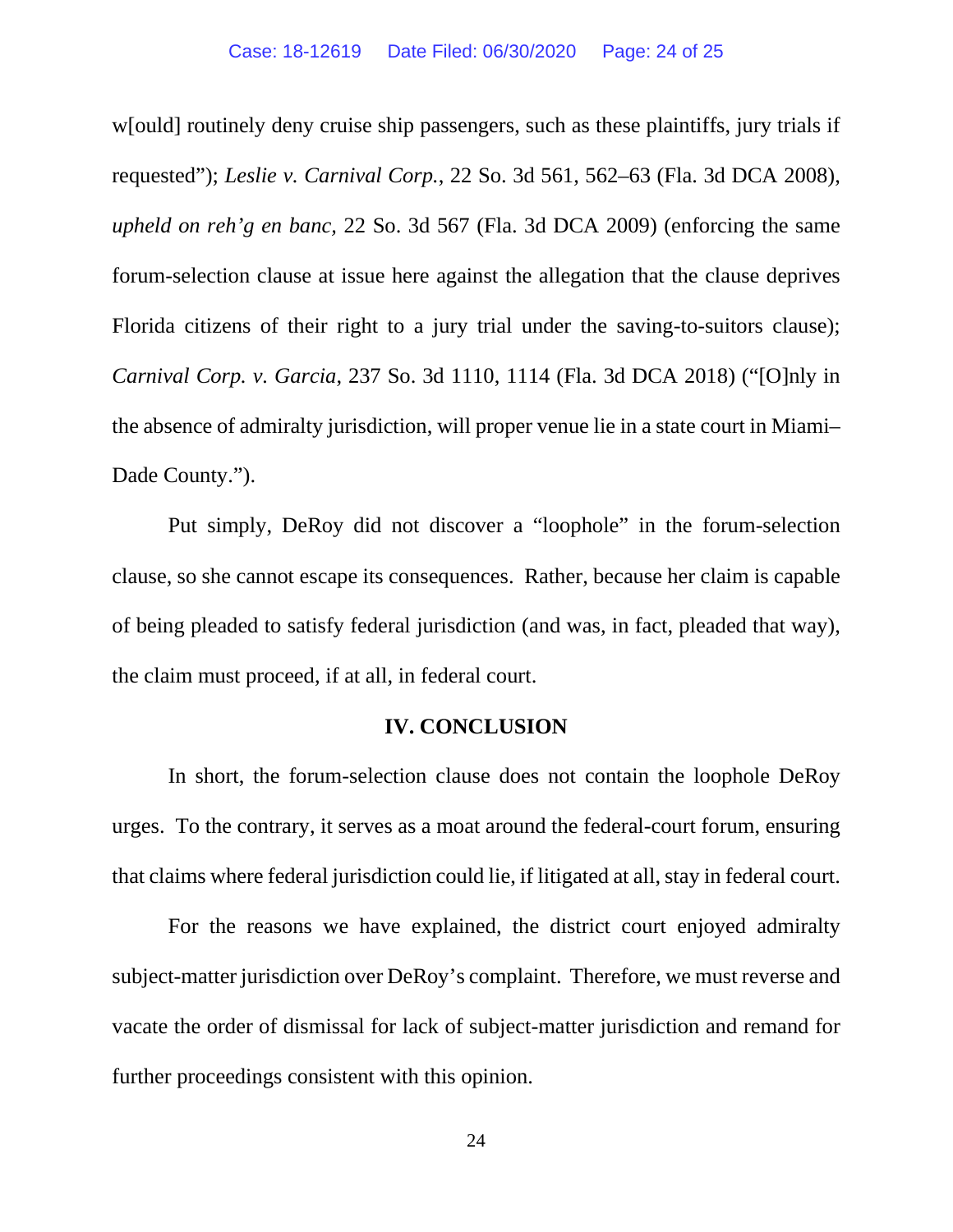w[ould] routinely deny cruise ship passengers, such as these plaintiffs, jury trials if requested"); *Leslie v. Carnival Corp.*, 22 So. 3d 561, 562–63 (Fla. 3d DCA 2008), *upheld on reh'g en banc,* 22 So. 3d 567 (Fla. 3d DCA 2009) (enforcing the same forum-selection clause at issue here against the allegation that the clause deprives Florida citizens of their right to a jury trial under the saving-to-suitors clause); *Carnival Corp. v. Garcia*, 237 So. 3d 1110, 1114 (Fla. 3d DCA 2018) ("[O]nly in the absence of admiralty jurisdiction, will proper venue lie in a state court in Miami– Dade County.").

Put simply, DeRoy did not discover a "loophole" in the forum-selection clause, so she cannot escape its consequences. Rather, because her claim is capable of being pleaded to satisfy federal jurisdiction (and was, in fact, pleaded that way), the claim must proceed, if at all, in federal court.

### **IV. CONCLUSION**

In short, the forum-selection clause does not contain the loophole DeRoy urges. To the contrary, it serves as a moat around the federal-court forum, ensuring that claims where federal jurisdiction could lie, if litigated at all, stay in federal court.

For the reasons we have explained, the district court enjoyed admiralty subject-matter jurisdiction over DeRoy's complaint. Therefore, we must reverse and vacate the order of dismissal for lack of subject-matter jurisdiction and remand for further proceedings consistent with this opinion.